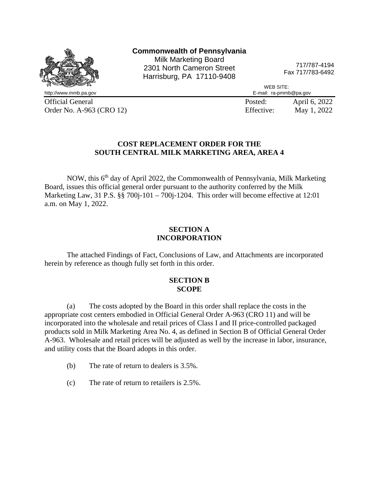

Official General Posted: April 6, 2022 Order No. A-963 (CRO 12) Effective: May 1, 2022

## **COST REPLACEMENT ORDER FOR THE SOUTH CENTRAL MILK MARKETING AREA, AREA 4**

NOW, this 6<sup>th</sup> day of April 2022, the Commonwealth of Pennsylvania, Milk Marketing Board, issues this official general order pursuant to the authority conferred by the Milk Marketing Law, 31 P.S. §§ 700j-101 – 700j-1204. This order will become effective at 12:01 a.m. on May 1, 2022.

## **SECTION A INCORPORATION**

The attached Findings of Fact, Conclusions of Law, and Attachments are incorporated herein by reference as though fully set forth in this order.

### **SECTION B SCOPE**

(a) The costs adopted by the Board in this order shall replace the costs in the appropriate cost centers embodied in Official General Order A-963 (CRO 11) and will be incorporated into the wholesale and retail prices of Class I and II price-controlled packaged products sold in Milk Marketing Area No. 4, as defined in Section B of Official General Order A-963. Wholesale and retail prices will be adjusted as well by the increase in labor, insurance, and utility costs that the Board adopts in this order.

- (b) The rate of return to dealers is 3.5%.
- (c) The rate of return to retailers is 2.5%.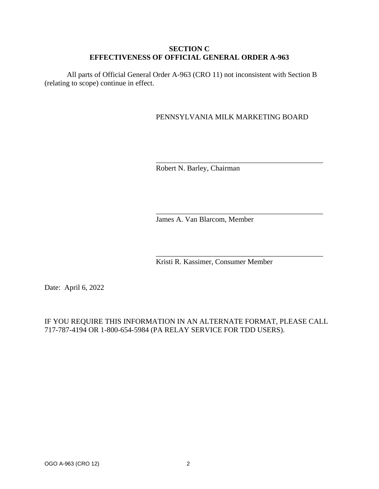## **SECTION C EFFECTIVENESS OF OFFICIAL GENERAL ORDER A-963**

All parts of Official General Order A-963 (CRO 11) not inconsistent with Section B (relating to scope) continue in effect.

## PENNSYLVANIA MILK MARKETING BOARD

\_\_\_\_\_\_\_\_\_\_\_\_\_\_\_\_\_\_\_\_\_\_\_\_\_\_\_\_\_\_\_\_\_\_\_\_\_\_\_\_\_\_\_\_\_

\_\_\_\_\_\_\_\_\_\_\_\_\_\_\_\_\_\_\_\_\_\_\_\_\_\_\_\_\_\_\_\_\_\_\_\_\_\_\_\_\_\_\_\_\_

\_\_\_\_\_\_\_\_\_\_\_\_\_\_\_\_\_\_\_\_\_\_\_\_\_\_\_\_\_\_\_\_\_\_\_\_\_\_\_\_\_\_\_\_\_

Robert N. Barley, Chairman

James A. Van Blarcom, Member

Kristi R. Kassimer, Consumer Member

Date: April 6, 2022

## IF YOU REQUIRE THIS INFORMATION IN AN ALTERNATE FORMAT, PLEASE CALL 717-787-4194 OR 1-800-654-5984 (PA RELAY SERVICE FOR TDD USERS).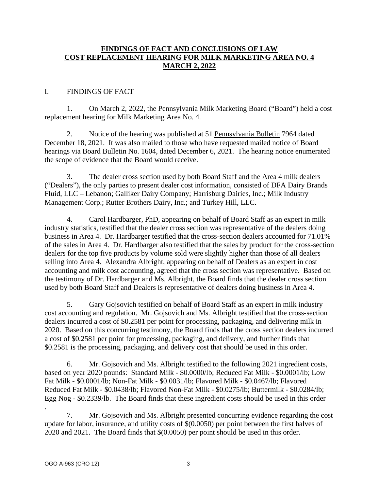## **FINDINGS OF FACT AND CONCLUSIONS OF LAW COST REPLACEMENT HEARING FOR MILK MARKETING AREA NO. 4 MARCH 2, 2022**

## I. FINDINGS OF FACT

1. On March 2, 2022, the Pennsylvania Milk Marketing Board ("Board") held a cost replacement hearing for Milk Marketing Area No. 4.

2. Notice of the hearing was published at 51 Pennsylvania Bulletin 7964 dated December 18, 2021. It was also mailed to those who have requested mailed notice of Board hearings via Board Bulletin No. 1604, dated December 6, 2021. The hearing notice enumerated the scope of evidence that the Board would receive.

3. The dealer cross section used by both Board Staff and the Area 4 milk dealers ("Dealers"), the only parties to present dealer cost information, consisted of DFA Dairy Brands Fluid, LLC – Lebanon; Galliker Dairy Company; Harrisburg Dairies, Inc.; Milk Industry Management Corp.; Rutter Brothers Dairy, Inc.; and Turkey Hill, LLC.

4. Carol Hardbarger, PhD, appearing on behalf of Board Staff as an expert in milk industry statistics, testified that the dealer cross section was representative of the dealers doing business in Area 4. Dr. Hardbarger testified that the cross-section dealers accounted for 71.01% of the sales in Area 4. Dr. Hardbarger also testified that the sales by product for the cross-section dealers for the top five products by volume sold were slightly higher than those of all dealers selling into Area 4. Alexandra Albright, appearing on behalf of Dealers as an expert in cost accounting and milk cost accounting, agreed that the cross section was representative. Based on the testimony of Dr. Hardbarger and Ms. Albright, the Board finds that the dealer cross section used by both Board Staff and Dealers is representative of dealers doing business in Area 4.

5. Gary Gojsovich testified on behalf of Board Staff as an expert in milk industry cost accounting and regulation. Mr. Gojsovich and Ms. Albright testified that the cross-section dealers incurred a cost of \$0.2581 per point for processing, packaging, and delivering milk in 2020. Based on this concurring testimony, the Board finds that the cross section dealers incurred a cost of \$0.2581 per point for processing, packaging, and delivery, and further finds that \$0.2581 is the processing, packaging, and delivery cost that should be used in this order.

6. Mr. Gojsovich and Ms. Albright testified to the following 2021 ingredient costs, based on year 2020 pounds: Standard Milk - \$0.0000/lb; Reduced Fat Milk - \$0.0001/lb; Low Fat Milk - \$0.0001/lb; Non-Fat Milk - \$0.0031/lb; Flavored Milk - \$0.0467/lb; Flavored Reduced Fat Milk - \$0.0438/lb; Flavored Non-Fat Milk - \$0.0275/lb; Buttermilk - \$0.0284/lb; Egg Nog - \$0.2339/lb. The Board finds that these ingredient costs should be used in this order

. 7. Mr. Gojsovich and Ms. Albright presented concurring evidence regarding the cost update for labor, insurance, and utility costs of \$(0.0050) per point between the first halves of 2020 and 2021. The Board finds that \$(0.0050) per point should be used in this order.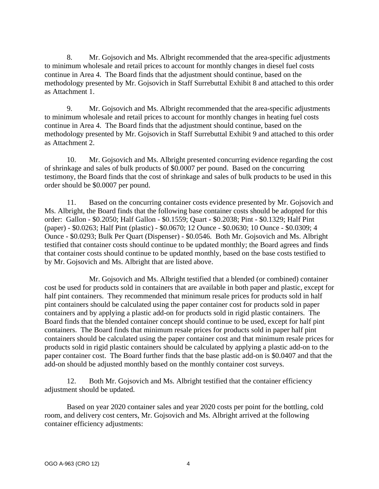8. Mr. Gojsovich and Ms. Albright recommended that the area-specific adjustments to minimum wholesale and retail prices to account for monthly changes in diesel fuel costs continue in Area 4. The Board finds that the adjustment should continue, based on the methodology presented by Mr. Gojsovich in Staff Surrebuttal Exhibit 8 and attached to this order as Attachment 1.

9. Mr. Gojsovich and Ms. Albright recommended that the area-specific adjustments to minimum wholesale and retail prices to account for monthly changes in heating fuel costs continue in Area 4. The Board finds that the adjustment should continue, based on the methodology presented by Mr. Gojsovich in Staff Surrebuttal Exhibit 9 and attached to this order as Attachment 2.

10. Mr. Gojsovich and Ms. Albright presented concurring evidence regarding the cost of shrinkage and sales of bulk products of \$0.0007 per pound. Based on the concurring testimony, the Board finds that the cost of shrinkage and sales of bulk products to be used in this order should be \$0.0007 per pound.

11. Based on the concurring container costs evidence presented by Mr. Gojsovich and Ms. Albright, the Board finds that the following base container costs should be adopted for this order: Gallon - \$0.2050; Half Gallon - \$0.1559; Quart - \$0.2038; Pint - \$0.1329; Half Pint (paper) - \$0.0263; Half Pint (plastic) - \$0.0670; 12 Ounce - \$0.0630; 10 Ounce - \$0.0309; 4 Ounce - \$0.0293; Bulk Per Quart (Dispenser) - \$0.0546. Both Mr. Gojsovich and Ms. Albright testified that container costs should continue to be updated monthly; the Board agrees and finds that container costs should continue to be updated monthly, based on the base costs testified to by Mr. Gojsovich and Ms. Albright that are listed above.

Mr. Gojsovich and Ms. Albright testified that a blended (or combined) container cost be used for products sold in containers that are available in both paper and plastic, except for half pint containers. They recommended that minimum resale prices for products sold in half pint containers should be calculated using the paper container cost for products sold in paper containers and by applying a plastic add-on for products sold in rigid plastic containers. The Board finds that the blended container concept should continue to be used, except for half pint containers. The Board finds that minimum resale prices for products sold in paper half pint containers should be calculated using the paper container cost and that minimum resale prices for products sold in rigid plastic containers should be calculated by applying a plastic add-on to the paper container cost. The Board further finds that the base plastic add-on is \$0.0407 and that the add-on should be adjusted monthly based on the monthly container cost surveys.

12. Both Mr. Gojsovich and Ms. Albright testified that the container efficiency adjustment should be updated.

Based on year 2020 container sales and year 2020 costs per point for the bottling, cold room, and delivery cost centers, Mr. Gojsovich and Ms. Albright arrived at the following container efficiency adjustments: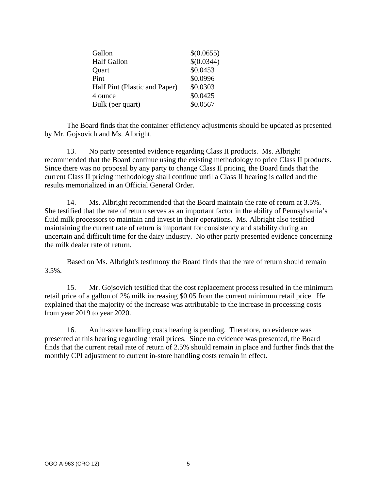| Gallon                        | \$(0.0655) |
|-------------------------------|------------|
| <b>Half Gallon</b>            | \$(0.0344) |
| Quart                         | \$0.0453   |
| Pint                          | \$0.0996   |
| Half Pint (Plastic and Paper) | \$0.0303   |
| 4 ounce                       | \$0.0425   |
| Bulk (per quart)              | \$0.0567   |

The Board finds that the container efficiency adjustments should be updated as presented by Mr. Gojsovich and Ms. Albright.

13. No party presented evidence regarding Class II products. Ms. Albright recommended that the Board continue using the existing methodology to price Class II products. Since there was no proposal by any party to change Class II pricing, the Board finds that the current Class II pricing methodology shall continue until a Class II hearing is called and the results memorialized in an Official General Order.

14. Ms. Albright recommended that the Board maintain the rate of return at 3.5%. She testified that the rate of return serves as an important factor in the ability of Pennsylvania's fluid milk processors to maintain and invest in their operations. Ms. Albright also testified maintaining the current rate of return is important for consistency and stability during an uncertain and difficult time for the dairy industry. No other party presented evidence concerning the milk dealer rate of return.

Based on Ms. Albright's testimony the Board finds that the rate of return should remain 3.5%.

15. Mr. Gojsovich testified that the cost replacement process resulted in the minimum retail price of a gallon of 2% milk increasing \$0.05 from the current minimum retail price. He explained that the majority of the increase was attributable to the increase in processing costs from year 2019 to year 2020.

16. An in-store handling costs hearing is pending. Therefore, no evidence was presented at this hearing regarding retail prices. Since no evidence was presented, the Board finds that the current retail rate of return of 2.5% should remain in place and further finds that the monthly CPI adjustment to current in-store handling costs remain in effect.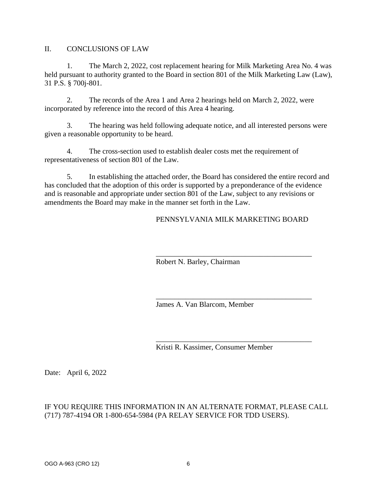II. CONCLUSIONS OF LAW

1. The March 2, 2022, cost replacement hearing for Milk Marketing Area No. 4 was held pursuant to authority granted to the Board in section 801 of the Milk Marketing Law (Law), 31 P.S. § 700j-801.

2. The records of the Area 1 and Area 2 hearings held on March 2, 2022, were incorporated by reference into the record of this Area 4 hearing.

3. The hearing was held following adequate notice, and all interested persons were given a reasonable opportunity to be heard.

4. The cross-section used to establish dealer costs met the requirement of representativeness of section 801 of the Law.

5. In establishing the attached order, the Board has considered the entire record and has concluded that the adoption of this order is supported by a preponderance of the evidence and is reasonable and appropriate under section 801 of the Law, subject to any revisions or amendments the Board may make in the manner set forth in the Law.

## PENNSYLVANIA MILK MARKETING BOARD

\_\_\_\_\_\_\_\_\_\_\_\_\_\_\_\_\_\_\_\_\_\_\_\_\_\_\_\_\_\_\_\_\_\_\_\_\_\_\_\_\_\_

\_\_\_\_\_\_\_\_\_\_\_\_\_\_\_\_\_\_\_\_\_\_\_\_\_\_\_\_\_\_\_\_\_\_\_\_\_\_\_\_\_\_

\_\_\_\_\_\_\_\_\_\_\_\_\_\_\_\_\_\_\_\_\_\_\_\_\_\_\_\_\_\_\_\_\_\_\_\_\_\_\_\_\_\_

Robert N. Barley, Chairman

James A. Van Blarcom, Member

Kristi R. Kassimer, Consumer Member

Date: April 6, 2022

## IF YOU REQUIRE THIS INFORMATION IN AN ALTERNATE FORMAT, PLEASE CALL (717) 787-4194 OR 1-800-654-5984 (PA RELAY SERVICE FOR TDD USERS).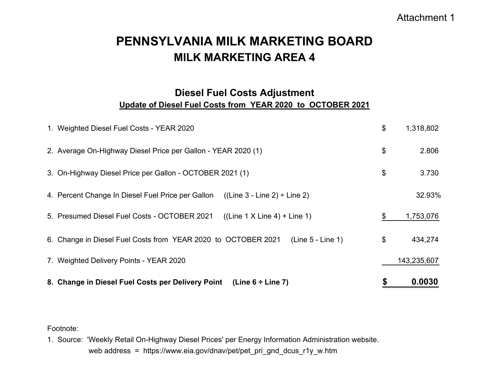## Attachment 1

# **MILK MARKETING AREA 4PENNSYLVANIA MILK MARKETING BOARD**

## **Diesel Fuel Costs Adjustment Update of Diesel Fuel Costs from YEAR 2020 to OCTOBER 2021**

| 8. Change in Diesel Fuel Costs per Delivery Point (Line 6 ÷ Line 7)                    | S  | 0.0030      |
|----------------------------------------------------------------------------------------|----|-------------|
| 7. Weighted Delivery Points - YEAR 2020                                                |    | 143,235,607 |
| $(Line 5 - Line 1)$<br>6. Change in Diesel Fuel Costs from YEAR 2020 to OCTOBER 2021   | \$ | 434,274     |
| 5. Presumed Diesel Fuel Costs - OCTOBER 2021<br>$((Line 1 X Line 4) + Line 1)$         | \$ | 1,753,076   |
| $((Line 3 - Line 2) \div Line 2)$<br>4. Percent Change In Diesel Fuel Price per Gallon |    | 32.93%      |
| 3. On-Highway Diesel Price per Gallon - OCTOBER 2021 (1)                               | \$ | 3.730       |
| 2. Average On-Highway Diesel Price per Gallon - YEAR 2020 (1)                          | \$ | 2.806       |
| 1. Weighted Diesel Fuel Costs - YEAR 2020                                              | \$ | 1,318,802   |

Footnote:

1. Source: 'Weekly Retail On-Highway Diesel Prices' per Energy Information Administration website. web address = https://www.eia.gov/dnav/pet/pet\_pri\_gnd\_dcus\_r1y\_w.htm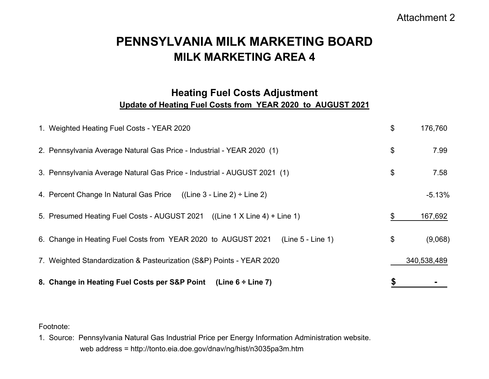## Attachment 2

# **MILK MARKETING AREA 4PENNSYLVANIA MILK MARKETING BOARD**

## **Heating Fuel Costs Adjustment Update of Heating Fuel Costs from YEAR 2020 to AUGUST 2021**

| 8. Change in Heating Fuel Costs per S&P Point<br>(Line $6 \div$ Line 7)            |               |
|------------------------------------------------------------------------------------|---------------|
| 7. Weighted Standardization & Pasteurization (S&P) Points - YEAR 2020              | 340,538,489   |
| 6. Change in Heating Fuel Costs from YEAR 2020 to AUGUST 2021<br>(Line 5 - Line 1) | \$<br>(9,068) |
| 5. Presumed Heating Fuel Costs - AUGUST 2021 ((Line 1 X Line 4) + Line 1)          | \$<br>167,692 |
| 4. Percent Change In Natural Gas Price $((Line 3 - Line 2) \div Line 2)$           | $-5.13%$      |
| 3. Pennsylvania Average Natural Gas Price - Industrial - AUGUST 2021 (1)           | \$<br>7.58    |
| 2. Pennsylvania Average Natural Gas Price - Industrial - YEAR 2020 (1)             | \$<br>7.99    |
| 1. Weighted Heating Fuel Costs - YEAR 2020                                         | \$<br>176,760 |

Footnote:

1. Source: Pennsylvania Natural Gas Industrial Price per Energy Information Administration website. web address = http://tonto.eia.doe.gov/dnav/ng/hist/n3035pa3m.htm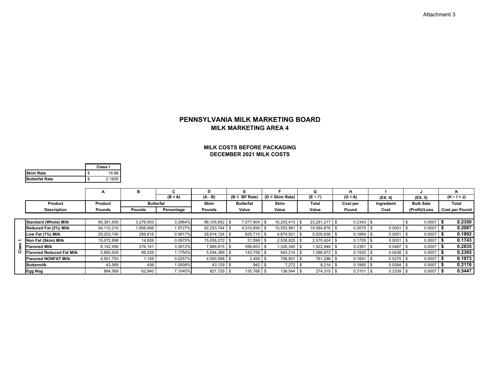**MILK MARKETING AREA 4PENNSYLVANIA MILK MARKETING BOARD**

### **DECEMBER 2021 MILK COSTS MILK COSTS BEFORE PACKAGING**

|                       | Class I |
|-----------------------|---------|
| <b>ISkim Rate</b>     | 16.86   |
| <b>Butterfat Rate</b> | 2.1605  |

|                |                                  | A          | в                |              | D                 |                      |                 | G                 |           |             |                  |                       |
|----------------|----------------------------------|------------|------------------|--------------|-------------------|----------------------|-----------------|-------------------|-----------|-------------|------------------|-----------------------|
|                |                                  |            |                  | $(B \div A)$ | $(A - B)$         | $(B \times BF Rate)$ | (D X Skim Rate) | $(E + F)$         | $(G + A)$ | (EX. 4)     | (EX. 5)          | $(H + I + J)$         |
|                | Product                          | Product    | <b>Butterfat</b> |              | <b>Skim</b>       | <b>Butterfat</b>     | <b>Skim</b>     | Total             | Cost per  | Ingredient  | <b>Bulk Sale</b> | Total                 |
|                | <b>Description</b>               | Pounds     | Pounds           | Percentage   | Pounds            | Value                | Value           | Value             | Pound     | Cost        | (Profit)/Loss    | <b>Cost per Pound</b> |
|                |                                  |            |                  |              |                   |                      |                 |                   |           |             |                  |                       |
|                | <b>Standard (Whole) Milk</b>     | 99,381,655 | 3,276,003        | 3.2964%      | 96,105,652 \$     | 7.077.804            | 16.203.413      | 23,281,217<br>-\$ | 0.2343    |             | 0.0007           | 0.2350                |
|                | Reduced Fat (2%) Milk            | 94,110,210 | 1,856,466        | 1.9727%      | $92,253,744$ \ \$ | 4,010,895            | 15,553,981      | 19,564,876        | 0.2079    | 0.0001      | 0.0007           | 0.2087                |
|                | Low Fat (1%) Milk                | 29,203,740 | 289,616          | 0.9917%      | 28.914.124 \$     | 625,715              | 4.874.921       | 5.500.636         | 0.1884    | 0.0001      | 0.0007           | 0.1892                |
| $\overline{ }$ | Non Fat (Skim) Milk              | 15,072,898 | 14,626           | 0.0970%      | 15,058,272        | 31,599               | 2,538,825       | 2,570,424         | 0.1705    | 0.0031      | 0.0007           | 0.1743                |
|                | <b>Flavored Milk</b>             | 8,142,956  | 276,141          | 3.3912%      | 7,866,815 \$      | 596,603              | 1,326,345       | 1,922,948         | 0.2361    | 0.0467      | 0.0007           | 0.2835                |
| ပ              | <b>Flavored Reduced Fat Milk</b> | 5,660,928  | 66,539           | 1.1754%      | $5,594,389$ \$    | 143,758              | 943.214         | 1,086,972         | 0.1920    | 0.0438      | 0.0007           | 0.2365                |
|                | <b>Flavored NONFAT Milk</b>      | 4,501,753  | 1,155            | 0.0257%      | $4,500,598$ \$    | $2,495$ \$           | 758,801         | 761,296<br>-S     | 0.1691    | 0.0275      | 0.0007           | 0.1973                |
|                | <b>Buttermilk</b>                | 43,565     | 436              | 1.0008%      | 43,129            | 942                  | 7,272           | 8,214             | 0.1885    | 0.0284      | 0.0007           | 0.2176                |
|                | <b>Egg Nog</b>                   | 884,569    | 62,840           | 7.1040%      | 821,729 \$        | 135,766 \$           | 138,544         | 274,310           | 0.3101    | $0.2339$ \$ | 0.0007           | 0.5447                |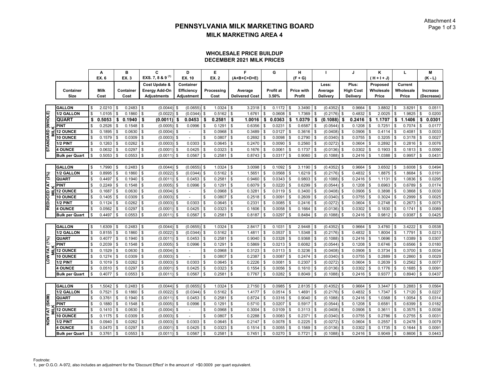### **WHOLESALE PRICE BUILDUP DECEMBER 2021 MILK PRICES**

| EXS. 7, 8 & 9 <sup>(1)</sup><br>EX. 6<br>EX. 3<br>EX. 10<br><b>EX. 2</b><br>(A+B+C+D+E)<br>$(F + G)$<br>$(H + H + J)$<br>Plus:<br>Current<br>Cost Update &<br>Container<br>Less:<br>Proposed<br><b>Milk</b><br><b>High Cost</b><br>Wholesale<br>Container<br>Container<br><b>Energy Add-On</b><br><b>Efficiency</b><br>Processing<br><b>Profit at</b><br>Price with<br>Wholesale<br>Average<br>Average<br><b>Size</b><br>Cost<br>Cost<br><b>Adjustments</b><br>Cost<br><b>Delivered Cost</b><br>3.50%<br>Profit<br>Delivery<br>Price<br>Price<br>Adjustment<br>Delivery<br><b>GALLON</b><br>2.0210<br>0.2483<br>(0.0655)<br>1.0324<br>\$<br>0.1172<br>3.3490<br>(0.4352)<br>3.8802<br>3.8291<br>\$<br>\$<br>$(0.0044)$ \$<br>\$<br>3.2318<br>\$<br>\$<br>0.9664<br>\$<br>\$<br>\$<br>l \$<br>STANDARD (WHOLE)<br>\$<br>\$<br>1.7369<br>2.0025<br>1.9825<br>1/2 GALLON<br>\$<br>1.0105<br>\$<br>0.1860<br>\$<br>(0.0022)<br>(0.0344)<br>\$<br>0.5162<br>1.6761<br>0.0608<br>\$<br>\$<br>(0.2176)<br>0.4832<br>\$<br>\$<br>0.5053<br>0.0453<br>1.1707<br><b>QUART</b><br>\$<br>\$<br>0.1940<br>\$<br>(0.0011)<br>0.2581<br>\$<br>1.0016<br>0.0363<br>\$<br>1.0379<br>(0.1088)<br>0.2416<br>\$<br>\$<br>1.1406<br>\$<br>\$<br>\$<br>Ŝ.<br>\$<br>\$<br><b>PINT</b><br>0.2526<br>0.1548<br>(0.0005)<br>0.0996<br>\$<br>0.1291<br>0.6356<br>\$<br>0.0231<br>\$<br>0.6587<br>(0.0544)<br>0.1208<br>0.7251<br>0.7074<br>\$<br>\$<br>Ŝ<br>\$<br>\$<br>\$.<br>Яб.<br>0.1895<br>0.0630<br>0.3489<br>\$<br>0.0127<br>(0.0408)<br><b>12 OUNCE</b><br>\$<br>(0.0004)<br>\$<br>0.0968<br>\$<br>\$<br>0.3616<br>$\mathbf{s}$<br>0.0906<br>0.4114<br>\$<br>0.4081<br>\$.<br>\$<br>\$<br>\$<br>$\blacksquare$<br>0.1579<br>\$<br>(0.0340)<br>0.3205<br>10 OUNCE<br>\$<br>$\mathfrak{S}$<br>0.0309<br>(0.0003)<br>\$<br>0.0807<br>\$<br>0.2692<br>0.0098<br>0.2790<br>0.0755<br>\$<br>0.3178<br>\$<br>\$.<br>\$<br>\$<br>\$<br>(0.0272)<br>0.2892<br>\$<br>0.1263<br>\$<br>0.0262<br>\$<br>(0.0003)<br>0.0303<br>\$<br>0.0645<br>0.2470<br>0.0090<br>0.2560<br>$\mathbf{s}$<br>0.0604<br>\$<br>0.2816<br>1/2 PINT<br>-S<br>\$<br>\$<br>\$.<br><b>4 OUNCE</b><br>0.0632<br>0.0297<br>0.0425<br>0.0323<br>0.1676<br>0.0061<br>0.1737<br>0.0302<br>0.1903<br>0.1813<br>\$<br>\$<br>(0.0001)<br>\$<br>\$<br>\$<br>\$<br>S<br>(0.0136)<br>\$<br>\$<br>0.5053<br>\$<br>0.0567<br>\$<br>1.0388<br>0.9957<br><b>Bulk per Quart</b><br>0.0553<br>$\sqrt{3}$<br>(0.0011)<br>\$<br>0.2581<br>\$<br>0.8743<br>0.0317<br>0.9060<br>S<br>(0.1088)<br>0.2416<br>\$<br>\$<br>\$<br><b>GALLON</b><br>1.7990<br>0.2483<br>(0.0044)<br>(0.0655)<br>1.0324<br>3.0098<br>0.1092<br>$(0.4352)$ \$<br>0.9664<br>3.6502<br>3.6008<br>$\sqrt{3}$<br>\$<br>\$<br>3.1190<br>\$<br>\$<br><b>S</b><br>\$<br>Ŝ<br>\$<br>(0.0344)<br>\$<br>0.0568<br>(0.2176)<br>1.8875<br>1.8684<br>1/2 GALLON<br><b>S</b><br>0.8995<br>\$<br>0.1860<br>(0.0022)<br>\$<br>0.5162<br>\$<br>1.5651<br>\$<br>1.6219<br>$\mathbf{s}$<br>0.4832<br>\$<br>$\sqrt{3}$<br>\$<br>REDUCED FAT (2%)<br>0.0453<br>0.2581<br>\$<br>\$<br>0.0343<br>(0.1088)<br>1.1131<br>QUART<br>0.4497<br>0.1940<br>\$<br>(0.0011)<br>\$<br>0.9460<br>\$<br>0.9803<br>S<br>0.2416<br>\$<br>1.0836<br>\$<br>l \$<br>\$<br>\$<br>(0.0544)<br><b>PINT</b><br>0.2249<br>0.1548<br>0.1291<br>0.6079<br>\$<br>0.0220<br>0.6299<br>0.6963<br>0.6789<br>\$<br>(0.0005)<br>0.0996<br>\$<br>\$<br>0.1208<br>\$<br>\$<br>\$<br>\$<br>\$<br>\$<br>0.1687<br>(0.0408)<br>0.3898<br>\$<br>\$<br>0.0630<br>(0.0004)<br>\$<br>0.0968<br>\$<br>0.3281<br>\$<br>0.0119<br>0.3400<br>0.0906<br>0.3868<br><b>12 OUNCE</b><br>\$<br>\$<br>\$<br>\$<br>$\overline{a}$<br>\$<br>\$<br><b>10 OUNCE</b><br>0.1405<br>0.0309<br>0.0807<br>\$<br>0.2518<br>\$<br>0.0091<br>0.2609<br>(0.0340)<br>0.3024<br>0.2999<br>\$<br>\$<br>(0.0003)<br>\$<br>0.0755<br>\$<br>£.<br>0.2748<br>1/2 PINT<br>0.1124<br>0.0303<br>\$<br>0.0645<br>\$<br>\$<br>0.0085<br>0.2416<br>(0.0272)<br>0.2673<br>\$<br>0.0262<br>\$<br>(0.0003)<br>0.2331<br>\$<br>0.0604<br>\$<br>£.<br>\$<br>0.0562<br>0.0425<br>0.0323<br>$\mathfrak s$<br>0.0058<br>(0.0136)<br>0.1830<br>0.1741<br>\$<br><b>S</b><br>0.0297<br>$\sqrt{3}$<br>(0.0001)<br>\$<br>\$<br>0.1606<br>\$<br>0.1664<br>\$<br>0.0302<br>\$<br><b>4 OUNCE</b><br>$\mathbf{\hat{s}}$<br>\$.<br>\$<br>0.4497<br>\$<br>l \$<br>0.0567<br>\$<br>0.2581<br>\$<br>\$<br>0.8484<br>\$<br><b>Bulk per Quart</b><br>0.0553<br>$(0.0011)$ \$<br>0.8187<br>0.0297<br>\$<br>\$<br>(0.1088)<br>0.2416<br>0.9812<br>0.9387<br>Ŝ.<br>\$<br>\$. |                        |
|---------------------------------------------------------------------------------------------------------------------------------------------------------------------------------------------------------------------------------------------------------------------------------------------------------------------------------------------------------------------------------------------------------------------------------------------------------------------------------------------------------------------------------------------------------------------------------------------------------------------------------------------------------------------------------------------------------------------------------------------------------------------------------------------------------------------------------------------------------------------------------------------------------------------------------------------------------------------------------------------------------------------------------------------------------------------------------------------------------------------------------------------------------------------------------------------------------------------------------------------------------------------------------------------------------------------------------------------------------------------------------------------------------------------------------------------------------------------------------------------------------------------------------------------------------------------------------------------------------------------------------------------------------------------------------------------------------------------------------------------------------------------------------------------------------------------------------------------------------------------------------------------------------------------------------------------------------------------------------------------------------------------------------------------------------------------------------------------------------------------------------------------------------------------------------------------------------------------------------------------------------------------------------------------------------------------------------------------------------------------------------------------------------------------------------------------------------------------------------------------------------------------------------------------------------------------------------------------------------------------------------------------------------------------------------------------------------------------------------------------------------------------------------------------------------------------------------------------------------------------------------------------------------------------------------------------------------------------------------------------------------------------------------------------------------------------------------------------------------------------------------------------------------------------------------------------------------------------------------------------------------------------------------------------------------------------------------------------------------------------------------------------------------------------------------------------------------------------------------------------------------------------------------------------------------------------------------------------------------------------------------------------------------------------------------------------------------------------------------------------------------------------------------------------------------------------------------------------------------------------------------------------------------------------------------------------------------------------------------------------------------------------------------------------------------------------------------------------------------------------------------------------------------------------------------------------------------------------------------------------------------------------------------------------------------------------------------------------------------------------------------------------------------------------------------------------------------------------------------------------------------------------------------------------|------------------------|
|                                                                                                                                                                                                                                                                                                                                                                                                                                                                                                                                                                                                                                                                                                                                                                                                                                                                                                                                                                                                                                                                                                                                                                                                                                                                                                                                                                                                                                                                                                                                                                                                                                                                                                                                                                                                                                                                                                                                                                                                                                                                                                                                                                                                                                                                                                                                                                                                                                                                                                                                                                                                                                                                                                                                                                                                                                                                                                                                                                                                                                                                                                                                                                                                                                                                                                                                                                                                                                                                                                                                                                                                                                                                                                                                                                                                                                                                                                                                                                                                                                                                                                                                                                                                                                                                                                                                                                                                                                                                                                                                             | $(K - L)$              |
|                                                                                                                                                                                                                                                                                                                                                                                                                                                                                                                                                                                                                                                                                                                                                                                                                                                                                                                                                                                                                                                                                                                                                                                                                                                                                                                                                                                                                                                                                                                                                                                                                                                                                                                                                                                                                                                                                                                                                                                                                                                                                                                                                                                                                                                                                                                                                                                                                                                                                                                                                                                                                                                                                                                                                                                                                                                                                                                                                                                                                                                                                                                                                                                                                                                                                                                                                                                                                                                                                                                                                                                                                                                                                                                                                                                                                                                                                                                                                                                                                                                                                                                                                                                                                                                                                                                                                                                                                                                                                                                                             |                        |
|                                                                                                                                                                                                                                                                                                                                                                                                                                                                                                                                                                                                                                                                                                                                                                                                                                                                                                                                                                                                                                                                                                                                                                                                                                                                                                                                                                                                                                                                                                                                                                                                                                                                                                                                                                                                                                                                                                                                                                                                                                                                                                                                                                                                                                                                                                                                                                                                                                                                                                                                                                                                                                                                                                                                                                                                                                                                                                                                                                                                                                                                                                                                                                                                                                                                                                                                                                                                                                                                                                                                                                                                                                                                                                                                                                                                                                                                                                                                                                                                                                                                                                                                                                                                                                                                                                                                                                                                                                                                                                                                             | Increase               |
|                                                                                                                                                                                                                                                                                                                                                                                                                                                                                                                                                                                                                                                                                                                                                                                                                                                                                                                                                                                                                                                                                                                                                                                                                                                                                                                                                                                                                                                                                                                                                                                                                                                                                                                                                                                                                                                                                                                                                                                                                                                                                                                                                                                                                                                                                                                                                                                                                                                                                                                                                                                                                                                                                                                                                                                                                                                                                                                                                                                                                                                                                                                                                                                                                                                                                                                                                                                                                                                                                                                                                                                                                                                                                                                                                                                                                                                                                                                                                                                                                                                                                                                                                                                                                                                                                                                                                                                                                                                                                                                                             | (Decrease)             |
|                                                                                                                                                                                                                                                                                                                                                                                                                                                                                                                                                                                                                                                                                                                                                                                                                                                                                                                                                                                                                                                                                                                                                                                                                                                                                                                                                                                                                                                                                                                                                                                                                                                                                                                                                                                                                                                                                                                                                                                                                                                                                                                                                                                                                                                                                                                                                                                                                                                                                                                                                                                                                                                                                                                                                                                                                                                                                                                                                                                                                                                                                                                                                                                                                                                                                                                                                                                                                                                                                                                                                                                                                                                                                                                                                                                                                                                                                                                                                                                                                                                                                                                                                                                                                                                                                                                                                                                                                                                                                                                                             |                        |
|                                                                                                                                                                                                                                                                                                                                                                                                                                                                                                                                                                                                                                                                                                                                                                                                                                                                                                                                                                                                                                                                                                                                                                                                                                                                                                                                                                                                                                                                                                                                                                                                                                                                                                                                                                                                                                                                                                                                                                                                                                                                                                                                                                                                                                                                                                                                                                                                                                                                                                                                                                                                                                                                                                                                                                                                                                                                                                                                                                                                                                                                                                                                                                                                                                                                                                                                                                                                                                                                                                                                                                                                                                                                                                                                                                                                                                                                                                                                                                                                                                                                                                                                                                                                                                                                                                                                                                                                                                                                                                                                             | 0.0511<br>Ŝ.           |
|                                                                                                                                                                                                                                                                                                                                                                                                                                                                                                                                                                                                                                                                                                                                                                                                                                                                                                                                                                                                                                                                                                                                                                                                                                                                                                                                                                                                                                                                                                                                                                                                                                                                                                                                                                                                                                                                                                                                                                                                                                                                                                                                                                                                                                                                                                                                                                                                                                                                                                                                                                                                                                                                                                                                                                                                                                                                                                                                                                                                                                                                                                                                                                                                                                                                                                                                                                                                                                                                                                                                                                                                                                                                                                                                                                                                                                                                                                                                                                                                                                                                                                                                                                                                                                                                                                                                                                                                                                                                                                                                             | 0.0200<br>\$           |
|                                                                                                                                                                                                                                                                                                                                                                                                                                                                                                                                                                                                                                                                                                                                                                                                                                                                                                                                                                                                                                                                                                                                                                                                                                                                                                                                                                                                                                                                                                                                                                                                                                                                                                                                                                                                                                                                                                                                                                                                                                                                                                                                                                                                                                                                                                                                                                                                                                                                                                                                                                                                                                                                                                                                                                                                                                                                                                                                                                                                                                                                                                                                                                                                                                                                                                                                                                                                                                                                                                                                                                                                                                                                                                                                                                                                                                                                                                                                                                                                                                                                                                                                                                                                                                                                                                                                                                                                                                                                                                                                             | 0.0301<br>\$           |
|                                                                                                                                                                                                                                                                                                                                                                                                                                                                                                                                                                                                                                                                                                                                                                                                                                                                                                                                                                                                                                                                                                                                                                                                                                                                                                                                                                                                                                                                                                                                                                                                                                                                                                                                                                                                                                                                                                                                                                                                                                                                                                                                                                                                                                                                                                                                                                                                                                                                                                                                                                                                                                                                                                                                                                                                                                                                                                                                                                                                                                                                                                                                                                                                                                                                                                                                                                                                                                                                                                                                                                                                                                                                                                                                                                                                                                                                                                                                                                                                                                                                                                                                                                                                                                                                                                                                                                                                                                                                                                                                             | 0.0177<br>. ፍ          |
|                                                                                                                                                                                                                                                                                                                                                                                                                                                                                                                                                                                                                                                                                                                                                                                                                                                                                                                                                                                                                                                                                                                                                                                                                                                                                                                                                                                                                                                                                                                                                                                                                                                                                                                                                                                                                                                                                                                                                                                                                                                                                                                                                                                                                                                                                                                                                                                                                                                                                                                                                                                                                                                                                                                                                                                                                                                                                                                                                                                                                                                                                                                                                                                                                                                                                                                                                                                                                                                                                                                                                                                                                                                                                                                                                                                                                                                                                                                                                                                                                                                                                                                                                                                                                                                                                                                                                                                                                                                                                                                                             | 0.0033<br>\$           |
|                                                                                                                                                                                                                                                                                                                                                                                                                                                                                                                                                                                                                                                                                                                                                                                                                                                                                                                                                                                                                                                                                                                                                                                                                                                                                                                                                                                                                                                                                                                                                                                                                                                                                                                                                                                                                                                                                                                                                                                                                                                                                                                                                                                                                                                                                                                                                                                                                                                                                                                                                                                                                                                                                                                                                                                                                                                                                                                                                                                                                                                                                                                                                                                                                                                                                                                                                                                                                                                                                                                                                                                                                                                                                                                                                                                                                                                                                                                                                                                                                                                                                                                                                                                                                                                                                                                                                                                                                                                                                                                                             | 0.0027<br>Ŝ.           |
|                                                                                                                                                                                                                                                                                                                                                                                                                                                                                                                                                                                                                                                                                                                                                                                                                                                                                                                                                                                                                                                                                                                                                                                                                                                                                                                                                                                                                                                                                                                                                                                                                                                                                                                                                                                                                                                                                                                                                                                                                                                                                                                                                                                                                                                                                                                                                                                                                                                                                                                                                                                                                                                                                                                                                                                                                                                                                                                                                                                                                                                                                                                                                                                                                                                                                                                                                                                                                                                                                                                                                                                                                                                                                                                                                                                                                                                                                                                                                                                                                                                                                                                                                                                                                                                                                                                                                                                                                                                                                                                                             | 0.0076<br>- \$         |
|                                                                                                                                                                                                                                                                                                                                                                                                                                                                                                                                                                                                                                                                                                                                                                                                                                                                                                                                                                                                                                                                                                                                                                                                                                                                                                                                                                                                                                                                                                                                                                                                                                                                                                                                                                                                                                                                                                                                                                                                                                                                                                                                                                                                                                                                                                                                                                                                                                                                                                                                                                                                                                                                                                                                                                                                                                                                                                                                                                                                                                                                                                                                                                                                                                                                                                                                                                                                                                                                                                                                                                                                                                                                                                                                                                                                                                                                                                                                                                                                                                                                                                                                                                                                                                                                                                                                                                                                                                                                                                                                             | 0.0090<br>\$           |
|                                                                                                                                                                                                                                                                                                                                                                                                                                                                                                                                                                                                                                                                                                                                                                                                                                                                                                                                                                                                                                                                                                                                                                                                                                                                                                                                                                                                                                                                                                                                                                                                                                                                                                                                                                                                                                                                                                                                                                                                                                                                                                                                                                                                                                                                                                                                                                                                                                                                                                                                                                                                                                                                                                                                                                                                                                                                                                                                                                                                                                                                                                                                                                                                                                                                                                                                                                                                                                                                                                                                                                                                                                                                                                                                                                                                                                                                                                                                                                                                                                                                                                                                                                                                                                                                                                                                                                                                                                                                                                                                             | \$<br>0.0431           |
|                                                                                                                                                                                                                                                                                                                                                                                                                                                                                                                                                                                                                                                                                                                                                                                                                                                                                                                                                                                                                                                                                                                                                                                                                                                                                                                                                                                                                                                                                                                                                                                                                                                                                                                                                                                                                                                                                                                                                                                                                                                                                                                                                                                                                                                                                                                                                                                                                                                                                                                                                                                                                                                                                                                                                                                                                                                                                                                                                                                                                                                                                                                                                                                                                                                                                                                                                                                                                                                                                                                                                                                                                                                                                                                                                                                                                                                                                                                                                                                                                                                                                                                                                                                                                                                                                                                                                                                                                                                                                                                                             |                        |
|                                                                                                                                                                                                                                                                                                                                                                                                                                                                                                                                                                                                                                                                                                                                                                                                                                                                                                                                                                                                                                                                                                                                                                                                                                                                                                                                                                                                                                                                                                                                                                                                                                                                                                                                                                                                                                                                                                                                                                                                                                                                                                                                                                                                                                                                                                                                                                                                                                                                                                                                                                                                                                                                                                                                                                                                                                                                                                                                                                                                                                                                                                                                                                                                                                                                                                                                                                                                                                                                                                                                                                                                                                                                                                                                                                                                                                                                                                                                                                                                                                                                                                                                                                                                                                                                                                                                                                                                                                                                                                                                             | 0.0494<br>l s          |
|                                                                                                                                                                                                                                                                                                                                                                                                                                                                                                                                                                                                                                                                                                                                                                                                                                                                                                                                                                                                                                                                                                                                                                                                                                                                                                                                                                                                                                                                                                                                                                                                                                                                                                                                                                                                                                                                                                                                                                                                                                                                                                                                                                                                                                                                                                                                                                                                                                                                                                                                                                                                                                                                                                                                                                                                                                                                                                                                                                                                                                                                                                                                                                                                                                                                                                                                                                                                                                                                                                                                                                                                                                                                                                                                                                                                                                                                                                                                                                                                                                                                                                                                                                                                                                                                                                                                                                                                                                                                                                                                             | 0.0191<br>\$           |
|                                                                                                                                                                                                                                                                                                                                                                                                                                                                                                                                                                                                                                                                                                                                                                                                                                                                                                                                                                                                                                                                                                                                                                                                                                                                                                                                                                                                                                                                                                                                                                                                                                                                                                                                                                                                                                                                                                                                                                                                                                                                                                                                                                                                                                                                                                                                                                                                                                                                                                                                                                                                                                                                                                                                                                                                                                                                                                                                                                                                                                                                                                                                                                                                                                                                                                                                                                                                                                                                                                                                                                                                                                                                                                                                                                                                                                                                                                                                                                                                                                                                                                                                                                                                                                                                                                                                                                                                                                                                                                                                             | 0.0295<br>Ŝ.           |
|                                                                                                                                                                                                                                                                                                                                                                                                                                                                                                                                                                                                                                                                                                                                                                                                                                                                                                                                                                                                                                                                                                                                                                                                                                                                                                                                                                                                                                                                                                                                                                                                                                                                                                                                                                                                                                                                                                                                                                                                                                                                                                                                                                                                                                                                                                                                                                                                                                                                                                                                                                                                                                                                                                                                                                                                                                                                                                                                                                                                                                                                                                                                                                                                                                                                                                                                                                                                                                                                                                                                                                                                                                                                                                                                                                                                                                                                                                                                                                                                                                                                                                                                                                                                                                                                                                                                                                                                                                                                                                                                             | 0.0174<br>\$           |
|                                                                                                                                                                                                                                                                                                                                                                                                                                                                                                                                                                                                                                                                                                                                                                                                                                                                                                                                                                                                                                                                                                                                                                                                                                                                                                                                                                                                                                                                                                                                                                                                                                                                                                                                                                                                                                                                                                                                                                                                                                                                                                                                                                                                                                                                                                                                                                                                                                                                                                                                                                                                                                                                                                                                                                                                                                                                                                                                                                                                                                                                                                                                                                                                                                                                                                                                                                                                                                                                                                                                                                                                                                                                                                                                                                                                                                                                                                                                                                                                                                                                                                                                                                                                                                                                                                                                                                                                                                                                                                                                             | 0.0030<br>Ŝ.           |
|                                                                                                                                                                                                                                                                                                                                                                                                                                                                                                                                                                                                                                                                                                                                                                                                                                                                                                                                                                                                                                                                                                                                                                                                                                                                                                                                                                                                                                                                                                                                                                                                                                                                                                                                                                                                                                                                                                                                                                                                                                                                                                                                                                                                                                                                                                                                                                                                                                                                                                                                                                                                                                                                                                                                                                                                                                                                                                                                                                                                                                                                                                                                                                                                                                                                                                                                                                                                                                                                                                                                                                                                                                                                                                                                                                                                                                                                                                                                                                                                                                                                                                                                                                                                                                                                                                                                                                                                                                                                                                                                             | 0.0025                 |
|                                                                                                                                                                                                                                                                                                                                                                                                                                                                                                                                                                                                                                                                                                                                                                                                                                                                                                                                                                                                                                                                                                                                                                                                                                                                                                                                                                                                                                                                                                                                                                                                                                                                                                                                                                                                                                                                                                                                                                                                                                                                                                                                                                                                                                                                                                                                                                                                                                                                                                                                                                                                                                                                                                                                                                                                                                                                                                                                                                                                                                                                                                                                                                                                                                                                                                                                                                                                                                                                                                                                                                                                                                                                                                                                                                                                                                                                                                                                                                                                                                                                                                                                                                                                                                                                                                                                                                                                                                                                                                                                             | 0.0075<br>Ŝ.           |
|                                                                                                                                                                                                                                                                                                                                                                                                                                                                                                                                                                                                                                                                                                                                                                                                                                                                                                                                                                                                                                                                                                                                                                                                                                                                                                                                                                                                                                                                                                                                                                                                                                                                                                                                                                                                                                                                                                                                                                                                                                                                                                                                                                                                                                                                                                                                                                                                                                                                                                                                                                                                                                                                                                                                                                                                                                                                                                                                                                                                                                                                                                                                                                                                                                                                                                                                                                                                                                                                                                                                                                                                                                                                                                                                                                                                                                                                                                                                                                                                                                                                                                                                                                                                                                                                                                                                                                                                                                                                                                                                             | \$<br>0.0089           |
|                                                                                                                                                                                                                                                                                                                                                                                                                                                                                                                                                                                                                                                                                                                                                                                                                                                                                                                                                                                                                                                                                                                                                                                                                                                                                                                                                                                                                                                                                                                                                                                                                                                                                                                                                                                                                                                                                                                                                                                                                                                                                                                                                                                                                                                                                                                                                                                                                                                                                                                                                                                                                                                                                                                                                                                                                                                                                                                                                                                                                                                                                                                                                                                                                                                                                                                                                                                                                                                                                                                                                                                                                                                                                                                                                                                                                                                                                                                                                                                                                                                                                                                                                                                                                                                                                                                                                                                                                                                                                                                                             | 0.0425<br>$\mathbf{s}$ |
|                                                                                                                                                                                                                                                                                                                                                                                                                                                                                                                                                                                                                                                                                                                                                                                                                                                                                                                                                                                                                                                                                                                                                                                                                                                                                                                                                                                                                                                                                                                                                                                                                                                                                                                                                                                                                                                                                                                                                                                                                                                                                                                                                                                                                                                                                                                                                                                                                                                                                                                                                                                                                                                                                                                                                                                                                                                                                                                                                                                                                                                                                                                                                                                                                                                                                                                                                                                                                                                                                                                                                                                                                                                                                                                                                                                                                                                                                                                                                                                                                                                                                                                                                                                                                                                                                                                                                                                                                                                                                                                                             |                        |
| (0.4352)<br>3.4760<br><b>GALLON</b><br>1.6309<br>0.2483<br>l \$<br>$(0.0044)$ \$<br>$(0.0655)$ \$<br>1.0324<br>\$<br>2.8417<br>\$<br>0.1031<br>2.9448<br>0.9664<br>3.4222<br>-S<br><b>S</b><br>-\$<br>\$<br>l \$<br>\$<br>\$                                                                                                                                                                                                                                                                                                                                                                                                                                                                                                                                                                                                                                                                                                                                                                                                                                                                                                                                                                                                                                                                                                                                                                                                                                                                                                                                                                                                                                                                                                                                                                                                                                                                                                                                                                                                                                                                                                                                                                                                                                                                                                                                                                                                                                                                                                                                                                                                                                                                                                                                                                                                                                                                                                                                                                                                                                                                                                                                                                                                                                                                                                                                                                                                                                                                                                                                                                                                                                                                                                                                                                                                                                                                                                                                                                                                                                                                                                                                                                                                                                                                                                                                                                                                                                                                                                                | 0.0538<br>-S           |
| \$<br>\$<br>1/2 GALLON<br>\$<br>0.1860<br>\$<br>(0.0344)<br>\$<br>0.5162<br>1.4811<br>0.0537<br>1.5348<br>(0.2176)<br>0.4832<br>1.8004<br>\$<br>1.7791<br>0.8155<br>\$<br>(0.0022)<br>\$<br>S<br>\$                                                                                                                                                                                                                                                                                                                                                                                                                                                                                                                                                                                                                                                                                                                                                                                                                                                                                                                                                                                                                                                                                                                                                                                                                                                                                                                                                                                                                                                                                                                                                                                                                                                                                                                                                                                                                                                                                                                                                                                                                                                                                                                                                                                                                                                                                                                                                                                                                                                                                                                                                                                                                                                                                                                                                                                                                                                                                                                                                                                                                                                                                                                                                                                                                                                                                                                                                                                                                                                                                                                                                                                                                                                                                                                                                                                                                                                                                                                                                                                                                                                                                                                                                                                                                                                                                                                                         | \$<br>0.0213           |
| QUART<br>0.0453<br>\$<br>\$<br>1.0696<br>0.4077<br>\$<br>0.1940<br>\$<br>(0.0011)<br>\$<br>0.2581<br>0.9040<br>0.0328<br>0.9368<br>(0.1088)<br>0.2416<br>1.0389<br>Ŝ<br>\$<br>\$<br>\$                                                                                                                                                                                                                                                                                                                                                                                                                                                                                                                                                                                                                                                                                                                                                                                                                                                                                                                                                                                                                                                                                                                                                                                                                                                                                                                                                                                                                                                                                                                                                                                                                                                                                                                                                                                                                                                                                                                                                                                                                                                                                                                                                                                                                                                                                                                                                                                                                                                                                                                                                                                                                                                                                                                                                                                                                                                                                                                                                                                                                                                                                                                                                                                                                                                                                                                                                                                                                                                                                                                                                                                                                                                                                                                                                                                                                                                                                                                                                                                                                                                                                                                                                                                                                                                                                                                                                      | 0.0307<br>Ŝ.           |
| $\mathfrak s$<br>0.2039<br>0.0996<br>\$<br>0.1291<br>\$<br>0.5869<br>0.0213<br>0.6082<br>(0.0544)<br>0.1208<br>0.6746<br>0.6566<br><b>PINT</b><br>\$<br>\$<br>0.1548<br>\$<br>(0.0005)<br>\$<br>\$<br>\$<br>\$<br>\$<br>\$                                                                                                                                                                                                                                                                                                                                                                                                                                                                                                                                                                                                                                                                                                                                                                                                                                                                                                                                                                                                                                                                                                                                                                                                                                                                                                                                                                                                                                                                                                                                                                                                                                                                                                                                                                                                                                                                                                                                                                                                                                                                                                                                                                                                                                                                                                                                                                                                                                                                                                                                                                                                                                                                                                                                                                                                                                                                                                                                                                                                                                                                                                                                                                                                                                                                                                                                                                                                                                                                                                                                                                                                                                                                                                                                                                                                                                                                                                                                                                                                                                                                                                                                                                                                                                                                                                                  | 0.0180<br>\$           |
| \$<br>\$<br>0.1529<br>\$<br>0.0113<br>(0.0408)<br>0.3734<br>\$<br><b>12 OUNCE</b><br>\$<br>\$<br>0.0630<br>\$<br>(0.0004)<br>0.0968<br>0.3123<br>\$<br>0.3236<br>$\mathbf{s}$<br>0.0906<br>0.3700<br>\$<br>$\sim$                                                                                                                                                                                                                                                                                                                                                                                                                                                                                                                                                                                                                                                                                                                                                                                                                                                                                                                                                                                                                                                                                                                                                                                                                                                                                                                                                                                                                                                                                                                                                                                                                                                                                                                                                                                                                                                                                                                                                                                                                                                                                                                                                                                                                                                                                                                                                                                                                                                                                                                                                                                                                                                                                                                                                                                                                                                                                                                                                                                                                                                                                                                                                                                                                                                                                                                                                                                                                                                                                                                                                                                                                                                                                                                                                                                                                                                                                                                                                                                                                                                                                                                                                                                                                                                                                                                           | 0.0034<br>Ŝ.           |
| <b>10 OUNCE</b><br>0.1274<br>0.0309<br>\$<br>0.0807<br>\$<br>0.2387<br>\$<br>0.0087<br>0.2474<br>(0.0340)<br>0.2889<br>0.2860<br>\$<br>\$<br>\$<br>(0.0003)<br>\$<br>S<br>0.0755<br>\$<br>\$<br>£                                                                                                                                                                                                                                                                                                                                                                                                                                                                                                                                                                                                                                                                                                                                                                                                                                                                                                                                                                                                                                                                                                                                                                                                                                                                                                                                                                                                                                                                                                                                                                                                                                                                                                                                                                                                                                                                                                                                                                                                                                                                                                                                                                                                                                                                                                                                                                                                                                                                                                                                                                                                                                                                                                                                                                                                                                                                                                                                                                                                                                                                                                                                                                                                                                                                                                                                                                                                                                                                                                                                                                                                                                                                                                                                                                                                                                                                                                                                                                                                                                                                                                                                                                                                                                                                                                                                           | 0.0029<br>Ŝ.           |
| LOW FAT (1%)<br>$\mathfrak s$<br>0.0081<br>(0.0272)<br>0.2639<br>0.1019<br>\$<br>0.0262<br>(0.0003)<br>0.0303<br>\$<br>0.0645<br>\$<br>0.2226<br>\$<br>0.2307<br>\$<br>0.0604<br>0.2562<br>1/2 PINT<br>\$<br>\$<br>\$<br>\$<br>\$                                                                                                                                                                                                                                                                                                                                                                                                                                                                                                                                                                                                                                                                                                                                                                                                                                                                                                                                                                                                                                                                                                                                                                                                                                                                                                                                                                                                                                                                                                                                                                                                                                                                                                                                                                                                                                                                                                                                                                                                                                                                                                                                                                                                                                                                                                                                                                                                                                                                                                                                                                                                                                                                                                                                                                                                                                                                                                                                                                                                                                                                                                                                                                                                                                                                                                                                                                                                                                                                                                                                                                                                                                                                                                                                                                                                                                                                                                                                                                                                                                                                                                                                                                                                                                                                                                           | 0.0077<br>\$           |
| 0.0510<br>\$<br>0.0425<br>\$<br>\$<br>0.1685<br><b>4 OUNCE</b><br>\$<br>0.0297<br>(0.0001)<br>\$<br>0.0323<br>0.1554<br>0.0056<br>0.1610<br>$\mathbf{s}$<br>(0.0136)<br>0.0302<br>0.1776<br>\$<br>\$<br>\$                                                                                                                                                                                                                                                                                                                                                                                                                                                                                                                                                                                                                                                                                                                                                                                                                                                                                                                                                                                                                                                                                                                                                                                                                                                                                                                                                                                                                                                                                                                                                                                                                                                                                                                                                                                                                                                                                                                                                                                                                                                                                                                                                                                                                                                                                                                                                                                                                                                                                                                                                                                                                                                                                                                                                                                                                                                                                                                                                                                                                                                                                                                                                                                                                                                                                                                                                                                                                                                                                                                                                                                                                                                                                                                                                                                                                                                                                                                                                                                                                                                                                                                                                                                                                                                                                                                                  | 0.0091<br>Ŝ.           |
| 0.4077<br>0.0553<br>$\sqrt{3}$<br>(0.0011)<br>0.0567<br>0.2581<br>\$<br>0.7767<br>0.0282<br>(0.1088)<br>0.9377<br><b>Bulk per Quart</b><br>\$<br>\$<br>\$<br>0.8049<br>\$<br>0.2416<br>\$<br>0.8940<br>1\$<br>\$                                                                                                                                                                                                                                                                                                                                                                                                                                                                                                                                                                                                                                                                                                                                                                                                                                                                                                                                                                                                                                                                                                                                                                                                                                                                                                                                                                                                                                                                                                                                                                                                                                                                                                                                                                                                                                                                                                                                                                                                                                                                                                                                                                                                                                                                                                                                                                                                                                                                                                                                                                                                                                                                                                                                                                                                                                                                                                                                                                                                                                                                                                                                                                                                                                                                                                                                                                                                                                                                                                                                                                                                                                                                                                                                                                                                                                                                                                                                                                                                                                                                                                                                                                                                                                                                                                                            | 0.0437<br>Ŝ.           |
|                                                                                                                                                                                                                                                                                                                                                                                                                                                                                                                                                                                                                                                                                                                                                                                                                                                                                                                                                                                                                                                                                                                                                                                                                                                                                                                                                                                                                                                                                                                                                                                                                                                                                                                                                                                                                                                                                                                                                                                                                                                                                                                                                                                                                                                                                                                                                                                                                                                                                                                                                                                                                                                                                                                                                                                                                                                                                                                                                                                                                                                                                                                                                                                                                                                                                                                                                                                                                                                                                                                                                                                                                                                                                                                                                                                                                                                                                                                                                                                                                                                                                                                                                                                                                                                                                                                                                                                                                                                                                                                                             |                        |
| 0.0985<br>(0.4352)<br>3.3447<br><b>GALLON</b><br>1.5042<br>0.2483<br>(0.0044)<br>(0.0655)<br>1.0324<br>\$<br>2.7150<br>2.8135<br>0.9664<br>3.2883<br>Ŝ.<br>\$<br>\$<br>\$<br>\$<br>\$<br>\$<br>-9<br>.ፍ                                                                                                                                                                                                                                                                                                                                                                                                                                                                                                                                                                                                                                                                                                                                                                                                                                                                                                                                                                                                                                                                                                                                                                                                                                                                                                                                                                                                                                                                                                                                                                                                                                                                                                                                                                                                                                                                                                                                                                                                                                                                                                                                                                                                                                                                                                                                                                                                                                                                                                                                                                                                                                                                                                                                                                                                                                                                                                                                                                                                                                                                                                                                                                                                                                                                                                                                                                                                                                                                                                                                                                                                                                                                                                                                                                                                                                                                                                                                                                                                                                                                                                                                                                                                                                                                                                                                     | 0.0564<br>-S           |
| 0.7521<br>1.7347<br>1/2 GALLON<br>0.1860<br>(0.0022)<br>(0.0344)<br>0.5162<br>\$<br>1.4177<br>\$<br>0.0514<br>1.4691<br>(0.2176)<br>0.4832<br>1.7120<br>\$<br>\$<br>\$<br>Ŝ<br>\$<br>\$                                                                                                                                                                                                                                                                                                                                                                                                                                                                                                                                                                                                                                                                                                                                                                                                                                                                                                                                                                                                                                                                                                                                                                                                                                                                                                                                                                                                                                                                                                                                                                                                                                                                                                                                                                                                                                                                                                                                                                                                                                                                                                                                                                                                                                                                                                                                                                                                                                                                                                                                                                                                                                                                                                                                                                                                                                                                                                                                                                                                                                                                                                                                                                                                                                                                                                                                                                                                                                                                                                                                                                                                                                                                                                                                                                                                                                                                                                                                                                                                                                                                                                                                                                                                                                                                                                                                                     | 0.0227<br>Ŝ.           |
| \$<br>(0.1088)<br>QUART<br>0.3761<br>\$<br>0.1940<br>(0.0011)<br>0.0453<br>\$<br>0.2581<br>\$<br>0.8724<br>0.0316<br>\$<br>0.9040<br>\$<br>0.2416<br>1.0368<br>1.0054<br>\$<br><b>S</b><br>\$<br>\$<br>٩                                                                                                                                                                                                                                                                                                                                                                                                                                                                                                                                                                                                                                                                                                                                                                                                                                                                                                                                                                                                                                                                                                                                                                                                                                                                                                                                                                                                                                                                                                                                                                                                                                                                                                                                                                                                                                                                                                                                                                                                                                                                                                                                                                                                                                                                                                                                                                                                                                                                                                                                                                                                                                                                                                                                                                                                                                                                                                                                                                                                                                                                                                                                                                                                                                                                                                                                                                                                                                                                                                                                                                                                                                                                                                                                                                                                                                                                                                                                                                                                                                                                                                                                                                                                                                                                                                                                    | 0.0314<br>\$           |
| NON FAT (SKIM)<br><b>PINT</b><br>0.1880<br>0.0996<br>0.1291<br>\$<br>0.5710<br>\$<br>0.0207<br>0.5917<br>(0.0544)<br>0.6581<br>0.6399<br>$\mathfrak{S}$<br>0.1548<br>$\mathsf{s}$<br>(0.0005)<br>\$<br>\$<br>$\mathbf{s}$<br>0.1208<br>\$<br>\$                                                                                                                                                                                                                                                                                                                                                                                                                                                                                                                                                                                                                                                                                                                                                                                                                                                                                                                                                                                                                                                                                                                                                                                                                                                                                                                                                                                                                                                                                                                                                                                                                                                                                                                                                                                                                                                                                                                                                                                                                                                                                                                                                                                                                                                                                                                                                                                                                                                                                                                                                                                                                                                                                                                                                                                                                                                                                                                                                                                                                                                                                                                                                                                                                                                                                                                                                                                                                                                                                                                                                                                                                                                                                                                                                                                                                                                                                                                                                                                                                                                                                                                                                                                                                                                                                             | 0.0182<br>$\mathbf{s}$ |
| <b>12 OUNCE</b><br>0.1410<br>0.0630<br>(0.0004)<br>0.0968<br>\$<br>0.3004<br>\$<br>0.0109<br>0.3113<br>(0.0408)<br>0.0906<br>0.3611<br>0.3575<br>\$<br>\$<br>\$<br>\$                                                                                                                                                                                                                                                                                                                                                                                                                                                                                                                                                                                                                                                                                                                                                                                                                                                                                                                                                                                                                                                                                                                                                                                                                                                                                                                                                                                                                                                                                                                                                                                                                                                                                                                                                                                                                                                                                                                                                                                                                                                                                                                                                                                                                                                                                                                                                                                                                                                                                                                                                                                                                                                                                                                                                                                                                                                                                                                                                                                                                                                                                                                                                                                                                                                                                                                                                                                                                                                                                                                                                                                                                                                                                                                                                                                                                                                                                                                                                                                                                                                                                                                                                                                                                                                                                                                                                                       | 0.0036                 |
| 0.1175<br>\$<br>\$<br>0.2288<br>\$<br>0.0083<br>(0.0340)<br>0.0755<br>0.2786<br>0.2755<br><b>10 OUNCE</b><br>\$<br>0.0309<br>(0.0003)<br>0.0807<br>0.2371<br>\$<br>\$<br>\$<br>\$<br>\$<br>\$<br>\$<br>\$.<br>$\sim$                                                                                                                                                                                                                                                                                                                                                                                                                                                                                                                                                                                                                                                                                                                                                                                                                                                                                                                                                                                                                                                                                                                                                                                                                                                                                                                                                                                                                                                                                                                                                                                                                                                                                                                                                                                                                                                                                                                                                                                                                                                                                                                                                                                                                                                                                                                                                                                                                                                                                                                                                                                                                                                                                                                                                                                                                                                                                                                                                                                                                                                                                                                                                                                                                                                                                                                                                                                                                                                                                                                                                                                                                                                                                                                                                                                                                                                                                                                                                                                                                                                                                                                                                                                                                                                                                                                        | 0.0031<br>\$           |
| 0.0940<br>0.0303<br>\$<br>0.0645<br>\$<br>0.2147<br>\$<br>0.0078<br>0.2225<br>(0.0272)<br>0.2557<br>0.2478<br>1/2 PINT<br>\$<br>\$<br>0.0262<br>\$<br>(0.0003)<br>\$<br>$\mathbf{s}$<br>0.0604<br>\$<br>$\mathbf{\hat{s}}$<br>\$                                                                                                                                                                                                                                                                                                                                                                                                                                                                                                                                                                                                                                                                                                                                                                                                                                                                                                                                                                                                                                                                                                                                                                                                                                                                                                                                                                                                                                                                                                                                                                                                                                                                                                                                                                                                                                                                                                                                                                                                                                                                                                                                                                                                                                                                                                                                                                                                                                                                                                                                                                                                                                                                                                                                                                                                                                                                                                                                                                                                                                                                                                                                                                                                                                                                                                                                                                                                                                                                                                                                                                                                                                                                                                                                                                                                                                                                                                                                                                                                                                                                                                                                                                                                                                                                                                            | 0.0079<br>\$           |
| <b>4 OUNCE</b><br>0.1735<br>0.0470<br>0.0297<br>(0.0001)<br>0.0425<br>0.0323<br>\$<br>0.1514<br>\$<br>0.0055<br>0.1569<br>(0.0136)<br>0.0302<br>0.1644<br>\$<br>\$<br>\$                                                                                                                                                                                                                                                                                                                                                                                                                                                                                                                                                                                                                                                                                                                                                                                                                                                                                                                                                                                                                                                                                                                                                                                                                                                                                                                                                                                                                                                                                                                                                                                                                                                                                                                                                                                                                                                                                                                                                                                                                                                                                                                                                                                                                                                                                                                                                                                                                                                                                                                                                                                                                                                                                                                                                                                                                                                                                                                                                                                                                                                                                                                                                                                                                                                                                                                                                                                                                                                                                                                                                                                                                                                                                                                                                                                                                                                                                                                                                                                                                                                                                                                                                                                                                                                                                                                                                                    | 0.0091                 |
| \$<br>0.2581<br>\$<br>\$<br>0.0270<br>0.9049<br>0.3761<br>\$<br>0.0553<br>\$<br>(0.0011)<br>0.0567<br>0.7451<br>\$<br>0.7721<br>\$<br>(0.1088)<br>0.2416<br>0.8606<br><b>Bulk per Quart</b><br>\$<br>\$<br>\$                                                                                                                                                                                                                                                                                                                                                                                                                                                                                                                                                                                                                                                                                                                                                                                                                                                                                                                                                                                                                                                                                                                                                                                                                                                                                                                                                                                                                                                                                                                                                                                                                                                                                                                                                                                                                                                                                                                                                                                                                                                                                                                                                                                                                                                                                                                                                                                                                                                                                                                                                                                                                                                                                                                                                                                                                                                                                                                                                                                                                                                                                                                                                                                                                                                                                                                                                                                                                                                                                                                                                                                                                                                                                                                                                                                                                                                                                                                                                                                                                                                                                                                                                                                                                                                                                                                               | 0.0443                 |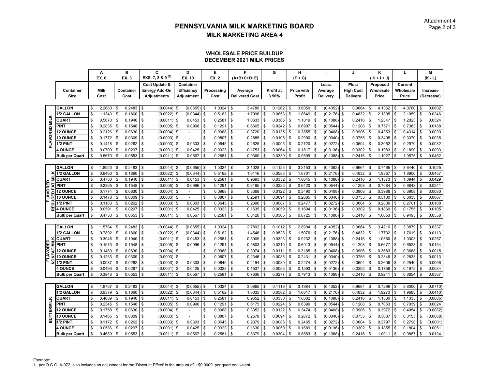### **WHOLESALE PRICE BUILDUP DECEMBER 2021 MILK PRICES**

|                   |                       |                           | А           |               | в         | C                            |          | D                        |          | Е            |                           | F                     | G            |     | н           |              |               |               | J                |      | Κ             | L                 |              | M          |
|-------------------|-----------------------|---------------------------|-------------|---------------|-----------|------------------------------|----------|--------------------------|----------|--------------|---------------------------|-----------------------|--------------|-----|-------------|--------------|---------------|---------------|------------------|------|---------------|-------------------|--------------|------------|
|                   |                       |                           | EX. 6       |               | EX. 3     | EXS. 7, 8 & 9 <sup>(1)</sup> |          | EX. 10                   |          | <b>EX. 2</b> |                           | (A+B+C+D+E)           |              |     | $(F + G)$   |              |               |               |                  |      | $(H + H + J)$ |                   |              | $(K - L)$  |
|                   |                       |                           |             |               |           | Cost Update &                |          | Container                |          |              |                           |                       |              |     |             |              | Less:         |               | Plus:            |      | Proposed      | Current           |              |            |
|                   | Container             |                           | <b>Milk</b> |               | Container | <b>Energy Add-On</b>         |          | Efficiency               |          | Processing   |                           | Average               | Profit at    |     | Price with  |              | Average       |               | <b>High Cost</b> |      | Wholesale     | Wholesale         |              | Increase   |
|                   | Size                  |                           | Cost        |               | Cost      | <b>Adjustments</b>           |          | Adjustment               |          | Cost         |                           | <b>Delivered Cost</b> | 3.50%        |     | Profit      |              | Delivery      |               | Delivery         |      | Price         | Price             |              | (Decrease) |
|                   |                       |                           |             |               |           |                              |          |                          |          |              |                           |                       |              |     |             |              |               |               |                  |      |               |                   |              |            |
|                   | <b>GALLON</b>         | \$                        | 2.2680      | $\sqrt{3}$    | 0.2483    | \$<br>$(0.0044)$ \$          |          | (0.0655)                 | Ŝ.       | 1.0324       | \$                        | 3.4788                | \$<br>0.1262 | \$  | $3.6050$ \$ |              | $(0.4352)$ \$ |               | 0.9664           | -\$  | 4.1362        | \$<br>4.0760      | $\sqrt{3}$   | 0.0602     |
|                   | <b>1/2 GALLON</b>     | $\boldsymbol{\mathsf{S}}$ | 1.1340      | \$            | 0.1860    | \$<br>(0.0022)               | ٩        | (0.0344)                 | \$       | 0.5162       | \$                        | 1.7996                | \$<br>0.0653 |     | 1.8649      | \$           | (0.2176)      | \$            | 0.4832           |      | 2.1305        | \$<br>2.1059      | Ŝ.           | 0.0246     |
| FLAVORED MILK     | QUART                 | \$                        | 0.5670      | \$            | 0.1940    | \$<br>(0.0011)               | S        | 0.0453                   |          | 0.2581       | \$                        | 1.0633                | \$<br>0.0386 |     | 1.1019      | \$           | (0.1088)      | \$            | 0.2416           |      | 1.2347        | \$<br>1.2023      | -S           | 0.0324     |
|                   | <b>PINT</b>           | \$                        | 0.2835      | - \$          | 0.1548    | \$<br>(0.0005)               | S        | 0.0996                   | \$       | 0.1291       | \$                        | 0.6665                | \$<br>0.0242 | \$  | 0.6907      | \$           | (0.0544)      | -\$           | 0.1208           |      | 0.7571        | \$<br>0.7383      | \$           | 0.0188     |
|                   | <b>12 OUNCE</b>       | \$                        | 0.2126      | \$            | 0.0630    | \$<br>(0.0004)               | \$       | $\sim$                   | \$       | 0.0968       | $\mathbb S$               | 0.3720                | \$<br>0.0135 | ٩   | 0.3855      | $\mathbf{s}$ | (0.0408)      | \$            | 0.0906           |      | 0.4353        | \$<br>0.4314      | $\mathbf{s}$ | 0.0039     |
|                   | 10 OUNCE              | S                         | 0.1772      | \$            | 0.0309    | \$<br>(0.0003)               | S        |                          |          | 0.0807       | \$                        | 0.2885                | \$<br>0.0105 |     | 0.2990      |              | (0.0340)      | - \$          | 0.0755           |      | 0.3405        | \$<br>0.3370      | -9           | 0.0035     |
|                   | 1/2 PINT              | \$                        | 0.1418      | $\mathfrak s$ | 0.0262    | \$<br>(0.0003)               | S        | 0.0303                   | \$       | 0.0645       | \$                        | 0.2625                | \$<br>0.0095 | - 5 | 0.2720      | \$           | (0.0272)      | \$            | 0.0604           |      | 0.3052        | \$<br>0.2970      | Ŝ.           | 0.0082     |
|                   | <b>4 OUNCE</b>        | \$                        | 0.0709      | \$            | 0.0297    | \$<br>(0.0001)               | \$       | 0.0425                   | Ŝ.       | 0.0323       | \$                        | 0.1753                | \$<br>0.0064 | \$  | 0.1817      | \$           | (0.0136)      | \$            | 0.0302           |      | 0.1983        | \$<br>0.1890      | Ŝ.           | 0.0093     |
|                   | <b>Bulk per Quart</b> | S                         | 0.5670      | \$            | 0.0553    | \$<br>(0.0011)               | \$       | 0.0567                   |          | 0.2581       | \$                        | 0.9360                | \$<br>0.0339 |     | 0.9699      |              | (0.1088)      | ا \$          | 0.2416           |      | 1.1027        | \$<br>1.0575      | Ŝ.           | 0.0452     |
|                   |                       |                           |             |               |           |                              |          |                          |          |              |                           |                       |              |     |             |              |               |               |                  |      |               |                   |              |            |
|                   | <b>GALLON</b>         | \$                        | 1.8920      | \$            | 0.2483    | \$<br>(0.0044)               | S        | (0.0655)                 | Ŝ.       | 1.0324       | \$                        | 3.1028                | \$<br>0.1125 | \$. | 3.2153      | Ŝ.           | (0.4352)      | l \$          | 0.9664           |      | 3.7465        | \$<br>3.6440      | Ŝ.           | 0.1025     |
|                   | 1/2 GALLON            | \$                        | 0.9460      | $\mathfrak s$ | 0.1860    | \$<br>(0.0022)               | S        | (0.0344)                 |          | 0.5162       | \$                        | 1.6116                | \$<br>0.0585 |     | 1.6701      | \$           | (0.2176)      | \$            | 0.4832           |      | 1.9357        | \$<br>1.8900      | \$           | 0.0457     |
| Σ                 | QUART                 | \$                        | 0.4730      | \$            | 0.1940    | \$<br>(0.0011)               | \$       | 0.0453                   | \$       | 0.2581       | \$                        | 0.9693                | \$<br>0.0352 | S   | 1.0045      | \$           | (0.1088)      | $\mathcal{S}$ | 0.2416           |      | 1.1373        | \$<br>1.0944      | Ŝ.           | 0.0429     |
| FLAVORED<br>7     | PINT                  | \$                        | 0.2365      | $\mathfrak s$ | 0.1548    | \$<br>(0.0005)               | \$       | 0.0996                   | \$       | 0.1291       | \$                        | 0.6195                | \$<br>0.0225 |     | 0.6420      | \$           | (0.0544)      | \$            | 0.1208           |      | 0.7084        | \$<br>0.6843      | \$           | 0.0241     |
| ò                 | <b>12 OUNCE</b>       | \$                        | 0.1774      | \$            | 0.0630    | \$<br>(0.0004)               | Ŝ        |                          |          | 0.0968       | \$                        | 0.3368                | \$<br>0.0122 |     | 0.3490      | Ŝ.           | (0.0408)      | $\mathcal{S}$ | 0.0906           |      | 0.3988        | \$<br>0.3908      | Ŝ.           | 0.0080     |
| ყ                 | <b>10 OUNCE</b>       | \$                        | 0.1478      | \$            | 0.0309    | \$<br>(0.0003)               | \$       |                          | \$       | 0.0807       | \$                        | 0.2591                | \$<br>0.0094 |     | 0.2685      | \$           | (0.0340)      | \$            | 0.0755           |      | 0.3100        | \$<br>0.3033      | Ŝ.           | 0.0067     |
| 2                 | 1/2 PINT              | \$                        | 0.1183      | $\sqrt{3}$    | 0.0262    | \$<br>(0.0003)               | -S       | 0.0303                   | \$       | 0.0645       | \$                        | 0.2390                | \$<br>0.0087 |     | 0.2477      | $\mathbf{s}$ | (0.0272)      | \$            | 0.0604           |      | 0.2809        | \$<br>0.2701      | \$           | 0.0108     |
| 쀭                 | <b>4 OUNCE</b>        | S                         | 0.0591      | \$            | 0.0297    | \$<br>(0.0001)               | S        | 0.0425                   |          | 0.0323       | \$                        | 0.1635                | \$<br>0.0059 |     | 0.1694      | \$           | (0.0136)      | \$            | 0.0302           |      | 0.1860        | \$<br>0.1755      | \$           | 0.0105     |
|                   | <b>Bulk per Quart</b> | \$                        | 0.4730      | \$            | 0.0553    | \$<br>$(0.0011)$ \$          |          | 0.0567                   | \$       | 0.2581       | $\overline{\mathfrak{s}}$ | 0.8420                | \$<br>0.0305 | \$  | 0.8725      | \$           | (0.1088)      | \$            | 0.2416           | - \$ | 1.0053        | \$<br>0.9495      | Ŝ.           | 0.0558     |
|                   |                       |                           |             |               |           |                              |          |                          |          |              |                           |                       |              |     |             |              |               |               |                  |      |               |                   |              |            |
|                   | <b>GALLON</b>         | \$                        | 1.5784      | l \$          | 0.2483    | \$<br>(0.0044)               | .q       | (0.0655)                 | <b>S</b> | 1.0324       | \$                        | 2.7892                | \$<br>0.1012 | \$  | 2.8904      | \$           | $(0.4352)$ \$ |               | 0.9664           |      | 3.4216        | \$<br>3.3879      | \$           | 0.0337     |
|                   | 1/2 GALLON            | \$                        | 0.7892      | $\mathfrak s$ | 0.1860    | \$<br>(0.0022)               | Ŝ        | (0.0344)                 | \$       | 0.5162       | \$                        | 1.4548                | \$<br>0.0528 | S   | 1.5076      | \$           | (0.2176)      | \$            | 0.4832           |      | 1.7732        | \$<br>1.7619      | \$           | 0.0113     |
|                   | <b>QUART</b>          | $\sqrt{2}$                | 0.3946      | l \$          | 0.1940    | \$<br>(0.0011)               | \$       | 0.0453                   | \$       | 0.2581       | \$                        | 0.8909                | \$<br>0.0323 |     | 0.9232      | \$           | (0.1088)      | \$            | 0.2416           |      | 1.0560        | \$<br>1.0303      | \$           | 0.0257     |
| FLAVORED          | ≣ PINT                | \$                        | 0.1973      | $\sqrt{3}$    | 0.1548    | \$<br>(0.0005)               | S        | 0.0996                   |          | 0.1291       | $\overline{\$}$           | 0.5803                | \$<br>0.0210 |     | 0.6013      | \$           | (0.0544)      | \$            | 0.1208           |      | 0.6677        | \$<br>0.6523      | \$           | 0.0154     |
| ₹                 | <b>12 OUNCE</b>       | \$                        | 0.1480      | \$            | 0.0630    | \$<br>(0.0004)               | Ŝ        |                          | Ŝ        | 0.0968       | \$                        | 0.3074                | \$<br>0.0111 |     | 0.3185      | \$           | (0.0408)      | $\mathcal{S}$ | 0.0906           |      | 0.3683        | \$<br>0.3668      |              | 0.0015     |
|                   | <b>10 OUNCE</b>       | \$                        | 0.1233      | \$            | 0.0309    | \$<br>(0.0003)               | S        | $\blacksquare$           | \$       | 0.0807       | \$                        | 0.2346                | \$<br>0.0085 |     | 0.2431      | \$           | (0.0340)      | \$            | 0.0755           |      | 0.2846        | \$<br>0.2833      | \$           | 0.0013     |
| ō<br>2            | <b>1/2 PINT</b>       | \$                        | 0.0987      | $\sqrt{3}$    | 0.0262    | \$<br>(0.0003)               | <b>S</b> | 0.0303                   | <b>S</b> | 0.0645       | \$                        | 0.2194                | \$<br>0.0080 | \$  | 0.2274      | \$           | (0.0272)      | <b>S</b>      | 0.0604           | \$   | 0.2606        | \$<br>$0.2540$ \$ |              | 0.0066     |
|                   | <b>4 OUNCE</b>        | S                         | 0.0493      | \$            | 0.0297    | \$<br>(0.0001)               | Ŝ        | 0.0425                   |          | 0.0323       | \$                        | 0.1537                | \$<br>0.0056 |     | 0.1593      | \$           | (0.0136)      | \$            | 0.0302           |      | 0.1759        | \$<br>0.1675      | \$           | 0.0084     |
|                   | <b>Bulk per Quart</b> | \$                        | 0.3946      | \$            | 0.0553    | \$<br>(0.0011)               | <b>S</b> | 0.0567                   | \$       | 0.2581       | \$                        | 0.7636                | \$<br>0.0277 | \$. | 0.7913      | \$           | (0.1088)      | \$            | 0.2416           |      | 0.9241        | \$<br>0.8854      | \$           | 0.0387     |
|                   |                       |                           |             |               |           |                              |          |                          |          |              |                           |                       |              |     |             |              |               |               |                  |      |               |                   |              |            |
|                   | <b>GALLON</b>         | \$                        | 1.8757      | \$            | 0.2483    | \$<br>(0.0044)               | S        | (0.0655)                 | \$       | 1.0324       | \$                        | 3.0865                | \$<br>0.1119 | \$. | 3.1984      | Ŝ.           | (0.4352)      | <b>S</b>      | 0.9664           |      | 3.7296        | \$<br>3.8006      | Ŝ.           | (0.0710)   |
|                   | 1/2 GALLON            | \$                        | 0.9379      | \$            | 0.1860    | \$<br>(0.0022)               |          | (0.0344)                 | \$       | 0.5162       | \$                        | 1.6035                | \$<br>0.0582 |     | 1.6617      | Ŝ.           | (0.2176)      | \$            | 0.4832           |      | 1.9273        | \$<br>1.9683      | -S           | (0.0410)   |
|                   | QUART                 | \$                        | 0.4689      | $\mathbf{s}$  | 0.1940    | \$<br>(0.0011)               | \$       | 0.0453                   | Ŝ.       | 0.2581       | \$                        | 0.9652                | \$<br>0.0350 | \$  | 1.0002      | \$           | $(0.1088)$ \$ |               | 0.2416           |      | 1.1330        | \$<br>1.1335      | \$           | (0.0005)   |
|                   | <b>PINT</b>           | \$                        | 0.2345      | \$            | 0.1548    | \$<br>(0.0005)               | \$       | 0.0996                   | \$       | 0.1291       | \$                        | 0.6175                | \$<br>0.0224 |     | 0.6399      | \$           | (0.0544)      | $\mathcal{S}$ | 0.1208           |      | 0.7063        | \$<br>0.7039      | <b>S</b>     | 0.0024     |
| <b>BUTTERMILK</b> | <b>12 OUNCE</b>       | \$                        | 0.1758      | \$            | 0.0630    | \$<br>(0.0004)               | S        | $\overline{\phantom{a}}$ | S        | 0.0968       | \$                        | 0.3352                | \$<br>0.0122 |     | 0.3474      | Ŝ.           | (0.0408)      | -\$           | 0.0906           |      | 0.3972        | \$<br>0.4054      | \$           | (0.0082)   |
|                   | <b>10 OUNCE</b>       | \$                        | 0.1465      | $\sqrt{3}$    | 0.0309    | \$<br>(0.0003)               | -S       | $\sim$                   | \$       | 0.0807       | \$                        | 0.2578                | \$<br>0.0094 |     | 0.2672      | \$           | (0.0340)      | \$            | 0.0755           |      | 0.3087        | \$<br>0.3155      | \$           | (0.0068)   |
|                   | 1/2 PINT              | \$                        | 0.1172      | \$            | 0.0262    | \$<br>(0.0003)               | S        | 0.0303                   |          | 0.0645       | \$                        | 0.2379                | \$<br>0.0086 |     | 0.2465      | \$           | (0.0272)      | $\mathcal{S}$ | 0.0604           |      | 0.2797        | \$<br>0.2798      |              | (0.0001)   |
|                   | <b>I OUNCE</b>        | S                         | 0.0586      | \$            | 0.0297    | \$<br>(0.0001)               | S        | 0.0425                   |          | 0.0323       | \$                        | 0.1630                | \$<br>0.0059 |     | 0.1689      | \$           | (0.0136)      | $\mathcal{S}$ | 0.0302           |      | 0.1855        | \$<br>0.1804      | \$.          | 0.0051     |
|                   | <b>Bulk per Quart</b> | \$                        | 0.4689      | $\mathbf{s}$  | 0.0553    | \$<br>$(0.0011)$ \$          |          | 0.0567                   | \$       | 0.2581       | \$                        | 0.8379                | \$<br>0.0304 | \$  | 0.8683      | <b>S</b>     | $(0.1088)$ \$ |               | 0.2416           | \$   | 1.0011        | \$<br>0.9887      | \$           | 0.0124     |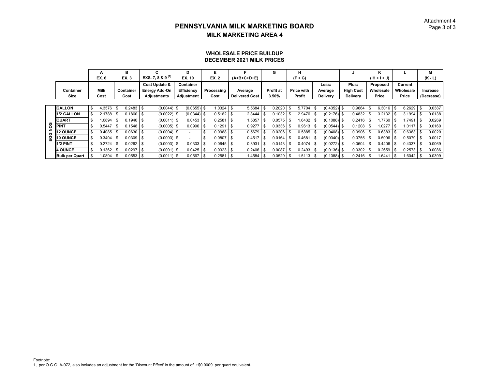### Attachment 4 $D$  Page 3 of 3

### **WHOLESALE PRICE BUILDUP DECEMBER 2021 MILK PRICES**

|   |                       |            | А      | в                 | C.                   | D                 |      | Е            |                       | G                | н                 |    |                 |                  | ĸ           |      |           | м            |
|---|-----------------------|------------|--------|-------------------|----------------------|-------------------|------|--------------|-----------------------|------------------|-------------------|----|-----------------|------------------|-------------|------|-----------|--------------|
|   |                       |            | EX. 6  | <b>EX.3</b>       | EXS. 7, 8 & 9 $(1)$  | EX. 10            |      | <b>EX. 2</b> | $(A+B+C+D+E)$         |                  | $(F + G)$         |    |                 |                  | (H + I + J) |      |           | $(K - L)$    |
|   |                       |            |        |                   | Cost Update &        | Container         |      |              |                       |                  |                   |    | Less:           | Plus:            | Proposed    |      | Current   |              |
|   | Container             |            | Milk   | Container         | <b>Energy Add-On</b> | <b>Efficiency</b> |      | Processing   | Average               | <b>Profit at</b> | <b>Price with</b> |    | Average         | <b>High Cost</b> | Wholesale   |      | Wholesale | Increase     |
|   | Size                  |            | Cost   | Cost              | <b>Adjustments</b>   | Adjustment        |      | Cost         | <b>Delivered Cost</b> | 3.50%            | Profit            |    | <b>Delivery</b> | <b>Delivery</b>  | Price       |      | Price     | (Decrease)   |
|   |                       |            |        |                   |                      |                   |      |              |                       |                  |                   |    |                 |                  |             |      |           |              |
|   | <b>GALLON</b>         | \$         | 4.3576 | \$<br>0.2483      | $(0.0044)$ \$        | $(0.0655)$ \$     |      | 1.0324       | 5.5684                | 0.2020           | 5.7704            | S  | $(0.4352)$ \$   | 0.9664           | 6.3016      | - \$ | 6.2629    | \$<br>0.0387 |
|   | 1/2 GALLON            |            | 2.1788 | \$<br>0.1860      | $(0.0022)$ \$        | $(0.0344)$ \$     |      | 0.5162       | 2.8444                | 0.1032           | 2.9476            |    | $(0.2176)$ \$   | 0.4832           | 3.2132      |      | 3.1994    | 0.0138       |
|   | <b>QUART</b>          |            | 1.0894 | \$<br>0.1940      | $(0.0011)$ \$        | 0.0453            |      | 0.2581       | 1.5857                | 0.0575           | 1.6432            |    | $(0.1088)$ \$   | 0.2416           | .7760       |      | 1.7491    | 0.0269       |
| ğ | <b>PINT</b>           |            | 0.5447 | \$<br>0.1548      | $(0.0005)$ \$        | 0.0996            | -S   | 0.129'       | 0.9277                | 0.0336           | 0.9613            | -9 | $(0.0544)$ \$   | 0.1208           | .0277       |      | 1.0117    | 0.0160       |
| ပ | <b>12 OUNCE</b>       | . ፍ        | 0.4085 | \$<br>0.0630      | $(0.0004)$ \$        |                   |      | 0.0968       | 0.5679                | 0.0206           | 0.5885            |    | $(0.0408)$ \$   | 0.0906           | 0.6383      |      | 0.6363    | 0.0020       |
| Š | 10 OUNCE              | <b>.</b> π | 0.3404 | \$<br>0.0309      | $(0.0003)$ \$        |                   | -S   | 0.0807       | 0.4517                | 0.0164           | 0.4681            |    | $(0.0340)$ \$   | 0.0755           | 0.5096      |      | 0.5079    | 0.0017       |
|   | 1/2 PINT              | \$         | 0.2724 | \$<br>0.0262      | $(0.0003)$ \$        | 0.0303            | -9   | 0.0645       | 0.3931                | 0.0143           | 0.4074            |    | $(0.0272)$ \$   | 0.0604           | 0.4406      |      | 0.4337    | 0.0069       |
|   | <b>4 OUNCE</b>        | . ፍ        | 0.1362 | \$<br>0.0297      | $(0.0001)$ \$        | 0.0425            |      | 0.0323       | 0.2406                | 0.0087           | 0.2493            |    | $(0.0136)$ \$   | 0.0302           | 0.2659      |      | 0.2573    | 0.0086       |
|   | <b>Bulk per Quart</b> |            | 1.0894 | \$<br>$0.0553$ \$ | $(0.0011)$ \$        | 0.0567            | - \$ | 0.2581       | 1.4584                | 0.0529           | 1.5113            |    | $(0.1088)$ \$   | $0.2416$ \$      | .6441       |      | 1.6042    | 0.0399       |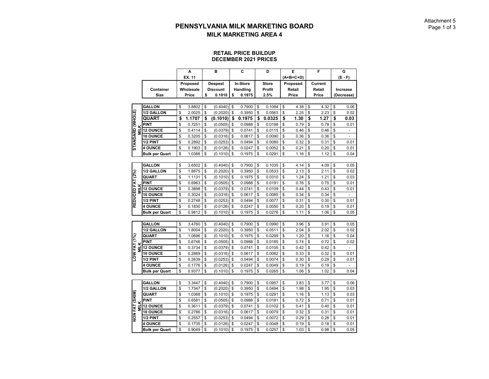#### **RETAIL PRICE BUILDUP DECEMBER 2021 PRICES**

|                                        |                       | A            | B               | C            | D            | Е          | F          | G                              |
|----------------------------------------|-----------------------|--------------|-----------------|--------------|--------------|------------|------------|--------------------------------|
|                                        |                       | EX. 11       |                 |              |              | (A+B+C+D)  |            | $(E - F)$                      |
|                                        |                       | Proposed     | <b>Deepest</b>  | In-Store     | <b>Store</b> | Proposed   | Current    |                                |
|                                        | Container             | Wholesale    | <b>Discount</b> | Handling     | Profit       | Retail     | Retail     | Increase                       |
|                                        | Size                  | Price        | \$<br>0.1010    | \$<br>0.1975 | 2.5%         | Price      | Price      | (Decrease)                     |
|                                        |                       |              |                 |              |              |            |            |                                |
|                                        | <b>GALLON</b>         | \$<br>3.8802 | \$<br>(0.4040)  | \$<br>0.7900 | \$<br>0.1094 | \$<br>4.38 | \$<br>4.32 | \$<br>0.06                     |
|                                        | 1/2 GALLON            | \$<br>2.0025 | \$<br>(0.2020)  | \$<br>0.3950 | \$<br>0.0563 | \$<br>2.25 | \$<br>2.23 | \$<br>0.02                     |
|                                        | <b>QUART</b>          | \$<br>1.1707 | \$<br>(0.1010)  | \$<br>0.1975 | \$<br>0.0325 | \$<br>1.30 | \$<br>1.27 | \$<br>0.03                     |
|                                        | <b>PINT</b>           | \$<br>0.7251 | \$<br>(0.0505)  | \$<br>0.0988 | \$<br>0.0198 | \$<br>0.79 | \$<br>0.78 | \$<br>0.01                     |
| <b>STANDARD (WHOLE)</b><br><b>MILK</b> | <b>12 OUNCE</b>       | \$<br>0.4114 | \$<br>(0.0379)  | \$<br>0.0741 | \$<br>0.0115 | \$<br>0.46 | \$<br>0.46 | \$                             |
|                                        | 10 OUNCE              | \$<br>0.3205 | \$<br>(0.0316)  | \$<br>0.0617 | \$<br>0.0090 | \$<br>0.36 | \$<br>0.36 | \$<br>$\overline{a}$           |
|                                        | 1/2 PINT              | \$<br>0.2892 | \$<br>(0.0253)  | \$<br>0.0494 | \$<br>0.0080 | \$<br>0.32 | \$<br>0.31 | \$<br>0.01                     |
|                                        | <b>4 OUNCE</b>        | \$<br>0.1903 | \$<br>(0.0126)  | \$<br>0.0247 | \$<br>0.0052 | \$<br>0.21 | \$<br>0.20 | \$<br>0.01                     |
|                                        | <b>Bulk per Quart</b> | \$<br>1.0388 | \$<br>(0.1010)  | \$<br>0.1975 | \$<br>0.0291 | \$<br>1.16 | \$<br>1.12 | \$<br>0.04                     |
|                                        |                       |              |                 |              |              |            |            |                                |
|                                        | <b>GALLON</b>         | \$<br>3.6502 | \$<br>(0.4040)  | \$<br>0.7900 | \$<br>0.1035 | \$<br>4.14 | \$<br>4.09 | \$<br>0.05                     |
|                                        | 1/2 GALLON            | \$<br>1.8875 | \$<br>(0.2020)  | \$<br>0.3950 | \$<br>0.0533 | \$<br>2.13 | \$<br>2.11 | \$<br>0.02                     |
| REDUCED FAT (2%)                       | QUART                 | \$<br>1.1131 | \$<br>(0.1010)  | \$<br>0.1975 | \$<br>0.0310 | \$<br>1.24 | \$<br>1.21 | \$<br>0.03                     |
|                                        | <b>PINT</b>           | \$<br>0.6963 | \$<br>(0.0505)  | \$<br>0.0988 | \$<br>0.0191 | \$<br>0.76 | \$<br>0.75 | \$<br>0.01                     |
| <b>MILK</b>                            | <b>12 OUNCE</b>       | \$<br>0.3898 | \$<br>(0.0379)  | \$<br>0.0741 | \$<br>0.0109 | \$<br>0.44 | \$<br>0.43 | \$<br>0.01                     |
|                                        | 10 OUNCE              | \$<br>0.3024 | \$<br>(0.0316)  | \$<br>0.0617 | \$<br>0.0085 | \$<br>0.34 | \$<br>0.34 | \$                             |
|                                        | 1/2 PINT              | \$<br>0.2748 | \$<br>(0.0253)  | \$<br>0.0494 | \$<br>0.0077 | \$<br>0.31 | \$<br>0.30 | \$<br>0.01                     |
|                                        | <b>4 OUNCE</b>        | \$<br>0.1830 | \$<br>(0.0126)  | \$<br>0.0247 | \$<br>0.0050 | \$<br>0.20 | \$<br>0.19 | \$<br>0.01                     |
|                                        | <b>Bulk per Quart</b> | \$<br>0.9812 | \$<br>(0.1010)  | \$<br>0.1975 | \$<br>0.0276 | \$<br>1.11 | \$<br>1.06 | \$<br>0.05                     |
|                                        |                       |              |                 |              |              |            |            |                                |
|                                        | <b>GALLON</b>         | \$<br>3.4760 | \$<br>(0.4040)  | \$<br>0.7900 | \$<br>0.0990 | \$<br>3.96 | \$<br>3.91 | \$<br>0.05                     |
|                                        | 1/2 GALLON            | \$<br>1.8004 | \$<br>(0.2020)  | \$<br>0.3950 | \$<br>0.0511 | \$<br>2.04 | \$<br>2.02 | \$<br>0.02                     |
|                                        | QUART                 | \$<br>1.0696 | \$<br>(0.1010)  | \$<br>0.1975 | \$<br>0.0299 | \$<br>1.20 | \$<br>1.16 | \$<br>0.04                     |
|                                        | <b>PINT</b>           | \$<br>0.6746 | \$<br>(0.0505)  | \$<br>0.0988 | \$<br>0.0185 | \$<br>0.74 | \$<br>0.72 | \$<br>0.02                     |
|                                        | 12 OUNCE              | \$<br>0.3734 | \$<br>(0.0379)  | \$<br>0.0741 | \$<br>0.0105 | \$<br>0.42 | \$<br>0.42 | \$                             |
| MILK<br>LOW FAT (1%)                   | 10 OUNCE              | \$<br>0.2889 | \$<br>(0.0316)  | \$<br>0.0617 | \$<br>0.0082 | \$<br>0.33 | \$<br>0.32 | \$<br>0.01                     |
|                                        | 1/2 PINT              | \$<br>0.2639 | \$<br>(0.0253)  | \$<br>0.0494 | \$<br>0.0074 | \$<br>0.30 | \$<br>0.29 | \$<br>0.01                     |
|                                        | <b>4 OUNCE</b>        | \$<br>0.1776 | \$<br>(0.0126)  | \$<br>0.0247 | \$<br>0.0049 | \$<br>0.19 | \$<br>0.19 | \$<br>$\overline{\phantom{0}}$ |
|                                        | <b>Bulk per Quart</b> | \$<br>0.9377 | \$<br>(0.1010)  | \$<br>0.1975 | \$<br>0.0265 | \$<br>1.06 | \$<br>1.02 | \$<br>0.04                     |
|                                        |                       |              |                 |              |              |            |            |                                |
|                                        | <b>GALLON</b>         | \$<br>3.3447 | \$<br>(0.4040)  | \$<br>0.7900 | \$<br>0.0957 | \$<br>3.83 | \$<br>3.77 | \$<br>0.06                     |
|                                        | 1/2 GALLON            | \$<br>1.7347 | \$<br>(0.2020)  | \$<br>0.3950 | \$<br>0.0494 | \$<br>1.98 | \$<br>1.95 | \$<br>0.03                     |
|                                        | QUART                 | \$<br>1.0368 | \$<br>(0.1010)  | \$<br>0.1975 | \$<br>0.0291 | \$<br>1.16 | \$<br>1.13 | \$<br>0.03                     |
|                                        | <b>PINT</b>           | \$<br>0.6581 | \$<br>(0.0505)  | \$<br>0.0988 | \$<br>0.0181 | \$<br>0.72 | \$<br>0.71 | \$<br>0.01                     |
| <b>MILK</b>                            | 12 OUNCE              | \$<br>0.3611 | \$<br>(0.0379)  | \$<br>0.0741 | \$<br>0.0102 | \$<br>0.41 | \$<br>0.40 | \$<br>0.01                     |
| NON FAT (SKIM)                         | 10 OUNCE              | \$<br>0.2786 | \$<br>(0.0316)  | \$<br>0.0617 | \$<br>0.0079 | \$<br>0.32 | \$<br>0.31 | \$<br>0.01                     |
|                                        | 1/2 PINT              | \$<br>0.2557 | \$<br>(0.0253)  | \$<br>0.0494 | \$<br>0.0072 | \$<br>0.29 | \$<br>0.28 | \$<br>0.01                     |
|                                        | <b>4 OUNCE</b>        | \$<br>0.1735 | \$<br>(0.0126)  | \$<br>0.0247 | \$<br>0.0048 | \$<br>0.19 | \$<br>0.18 | \$<br>0.01                     |
|                                        | <b>Bulk per Quart</b> | \$<br>0.9049 | \$<br>(0.1010)  | \$<br>0.1975 | \$<br>0.0257 | \$<br>1.03 | \$<br>0.98 | \$<br>0.05                     |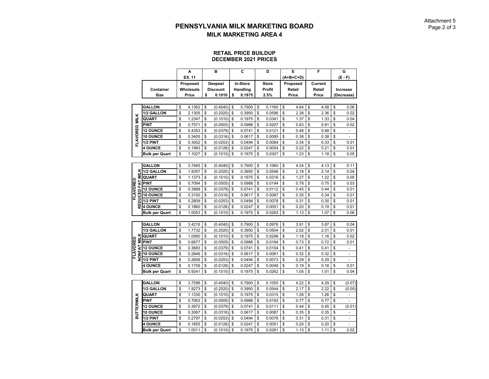#### **RETAIL PRICE BUILDUP DECEMBER 2021 PRICES**

|                           |                       | A            | B               | C            | D            | E          | F          | G                    |
|---------------------------|-----------------------|--------------|-----------------|--------------|--------------|------------|------------|----------------------|
|                           |                       | EX. 11       |                 |              |              | (A+B+C+D)  |            | (E - F)              |
|                           |                       | Proposed     | <b>Deepest</b>  | In-Store     | <b>Store</b> | Proposed   | Current    |                      |
|                           | Container             | Wholesale    | <b>Discount</b> | Handling     | Profit       | Retail     | Retail     | <b>Increase</b>      |
|                           | <b>Size</b>           | Price        | \$<br>0.1010    | \$<br>0.1975 | 2.5%         | Price      | Price      | (Decrease)           |
|                           |                       |              |                 |              |              |            |            |                      |
|                           | <b>GALLON</b>         | \$<br>4.1362 | \$<br>(0.4040)  | \$<br>0.7900 | \$<br>0.1160 | \$<br>4.64 | \$<br>4.58 | \$<br>0.06           |
|                           | 1/2 GALLON            | \$<br>2.1305 | \$<br>(0.2020)  | \$<br>0.3950 | \$<br>0.0596 | \$<br>2.38 | \$<br>2.36 | \$<br>0.02           |
|                           | QUART                 | \$<br>1.2347 | \$<br>(0.1010)  | \$<br>0.1975 | \$<br>0.0341 | \$<br>1.37 | \$<br>1.33 | \$<br>0.04           |
| FLAVORED MILK             | <b>PINT</b>           | \$<br>0.7571 | \$<br>(0.0505)  | \$<br>0.0988 | \$<br>0.0207 | \$<br>0.83 | \$<br>0.81 | \$<br>0.02           |
|                           | <b>12 OUNCE</b>       | \$<br>0.4353 | \$<br>(0.0379)  | \$<br>0.0741 | \$<br>0.0121 | \$<br>0.48 | \$<br>0.48 | \$<br>٠              |
|                           | 10 OUNCE              | \$<br>0.3405 | \$<br>(0.0316)  | \$<br>0.0617 | \$<br>0.0095 | \$<br>0.38 | \$<br>0.38 | \$<br>$\overline{a}$ |
|                           | 1/2 PINT              | \$<br>0.3052 | \$<br>(0.0253)  | \$<br>0.0494 | \$<br>0.0084 | \$<br>0.34 | \$<br>0.33 | \$<br>0.01           |
|                           | <b>4 OUNCE</b>        | \$<br>0.1983 | \$<br>(0.0126)  | \$<br>0.0247 | \$<br>0.0054 | \$<br>0.22 | \$<br>0.21 | \$<br>0.01           |
|                           | <b>Bulk per Quart</b> | \$<br>1.1027 | \$<br>(0.1010)  | \$<br>0.1975 | \$<br>0.0307 | \$<br>1.23 | \$<br>1.18 | \$<br>0.05           |
|                           |                       |              |                 |              |              |            |            |                      |
|                           | <b>GALLON</b>         | \$<br>3.7465 | \$<br>(0.4040)  | \$<br>0.7900 | \$<br>0.1060 | \$<br>4.24 | \$<br>4.13 | \$<br>0.11           |
| š                         | 1/2 GALLON            | \$<br>1.9357 | \$<br>(0.2020)  | \$<br>0.3950 | \$<br>0.0546 | \$<br>2.18 | \$<br>2.14 | \$<br>0.04           |
| Ξ                         | <b>QUART</b>          | \$<br>1.1373 | \$<br>(0.1010)  | \$<br>0.1975 | \$<br>0.0316 | \$<br>1.27 | \$<br>1.22 | \$<br>0.05           |
| FAT                       | <b>PINT</b>           | \$<br>0.7084 | \$<br>(0.0505)  | \$<br>0.0988 | \$<br>0.0194 | \$<br>0.78 | \$<br>0.75 | \$<br>0.03           |
| AVORED<br>≏               | <b>12 OUNCE</b>       | \$<br>0.3988 | \$<br>(0.0379)  | \$<br>0.0741 | \$<br>0.0112 | \$<br>0.45 | \$<br>0.44 | \$<br>0.01           |
|                           | 10 OUNCE              | \$<br>0.3100 | \$<br>(0.0316)  | \$<br>0.0617 | \$<br>0.0087 | \$<br>0.35 | \$<br>0.34 | \$<br>0.01           |
| <b>REDUCE</b><br>ᆏ        | 1/2 PINT              | \$<br>0.2809 | \$<br>(0.0253)  | \$<br>0.0494 | \$<br>0.0078 | \$<br>0.31 | \$<br>0.30 | \$<br>0.01           |
|                           | <b>4 OUNCE</b>        | \$<br>0.1860 | \$<br>(0.0126)  | \$<br>0.0247 | \$<br>0.0051 | \$<br>0.20 | \$<br>0.19 | \$<br>0.01           |
|                           | <b>Bulk per Quart</b> | \$<br>1.0053 | \$<br>(0.1010)  | \$<br>0.1975 | \$<br>0.0283 | \$<br>1.13 | \$<br>1.07 | \$<br>0.06           |
|                           |                       |              |                 |              |              |            |            |                      |
|                           | <b>GALLON</b>         | \$<br>3.4216 | \$<br>(0.4040)  | \$<br>0.7900 | \$<br>0.0976 | \$<br>3.91 | \$<br>3.87 | \$<br>0.04           |
|                           | 1/2 GALLON            | \$<br>1.7732 | \$<br>(0.2020)  | \$<br>0.3950 | \$<br>0.0504 | \$<br>2.02 | \$<br>2.01 | \$<br>0.01           |
|                           | QUART                 | \$<br>1.0560 | \$<br>(0.1010)  | \$<br>0.1975 | \$<br>0.0296 | \$<br>1.18 | \$<br>1.16 | \$<br>0.02           |
| <b>MILK</b>               | <b>PINT</b>           | \$<br>0.6677 | \$<br>(0.0505)  | \$<br>0.0988 | \$<br>0.0184 | \$<br>0.73 | \$<br>0.72 | \$<br>0.01           |
|                           | <b>12 OUNCE</b>       | \$<br>0.3683 | \$<br>(0.0379)  | \$<br>0.0741 | \$<br>0.0104 | \$<br>0.41 | \$<br>0.41 | \$<br>÷,             |
| FLAVORED<br><b>NONFAT</b> | 10 OUNCE              | \$<br>0.2846 | \$<br>(0.0316)  | \$<br>0.0617 | \$<br>0.0081 | \$<br>0.32 | \$<br>0.32 | \$<br>÷,             |
|                           | 1/2 PINT              | \$<br>0.2606 | \$<br>(0.0253)  | \$<br>0.0494 | \$<br>0.0073 | \$<br>0.29 | \$<br>0.29 | \$<br>$\frac{1}{2}$  |
|                           | <b>4 OUNCE</b>        | \$<br>0.1759 | \$<br>(0.0126)  | \$<br>0.0247 | \$<br>0.0048 | \$<br>0.19 | \$<br>0.18 | \$<br>0.01           |
|                           | <b>Bulk per Quart</b> | \$<br>0.9241 | \$<br>(0.1010)  | \$<br>0.1975 | \$<br>0.0262 | \$<br>1.05 | \$<br>1.01 | \$<br>0.04           |
|                           |                       |              |                 |              |              |            |            |                      |
|                           | <b>GALLON</b>         | \$<br>3.7296 | \$<br>(0.4040)  | \$<br>0.7900 | \$<br>0.1055 | \$<br>4.22 | \$<br>4.29 | \$<br>(0.07)         |
|                           | 1/2 GALLON            | \$<br>1.9273 | \$<br>(0.2020)  | \$<br>0.3950 | \$<br>0.0544 | \$<br>2.17 | \$<br>2.22 | \$<br>(0.05)         |
|                           | QUART                 | \$<br>1.1330 | \$<br>(0.1010)  | \$<br>0.1975 | \$<br>0.0315 | \$<br>1.26 | \$<br>1.26 | \$<br>٠              |
|                           | PINT                  | \$<br>0.7063 | \$<br>(0.0505)  | \$<br>0.0988 | \$<br>0.0193 | \$<br>0.77 | \$<br>0.77 | \$                   |
| BUTTERMILK                | <b>12 OUNCE</b>       | \$<br>0.3972 | \$<br>(0.0379)  | \$<br>0.0741 | \$<br>0.0111 | \$<br>0.44 | \$<br>0.45 | \$<br>(0.01)         |
|                           | 10 OUNCE              | \$<br>0.3087 | \$<br>(0.0316)  | \$<br>0.0617 | \$<br>0.0087 | \$<br>0.35 | \$<br>0.35 | \$                   |
|                           | 1/2 PINT              | \$<br>0.2797 | \$<br>(0.0253)  | \$<br>0.0494 | \$<br>0.0078 | \$<br>0.31 | \$<br>0.31 | \$                   |
|                           | <b>4 OUNCE</b>        | \$<br>0.1855 | \$<br>(0.0126)  | \$<br>0.0247 | \$<br>0.0051 | \$<br>0.20 | \$<br>0.20 | \$<br>÷,             |
|                           | <b>Bulk per Quart</b> | \$<br>1.0011 | \$<br>(0.1010)  | \$<br>0.1975 | \$<br>0.0281 | \$<br>1.13 | \$<br>1.11 | \$<br>0.02           |